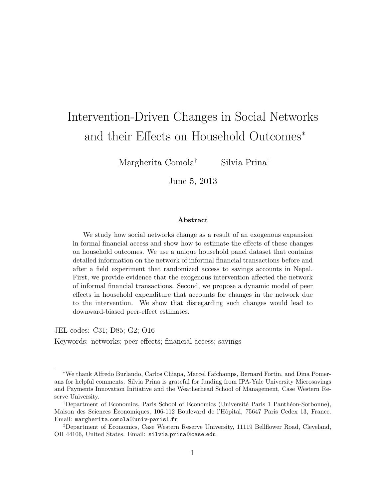# Intervention-Driven Changes in Social Networks and their Effects on Household Outcomes<sup>∗</sup>

Margherita Comola† Silvia Prina‡

June 5, 2013

#### Abstract

We study how social networks change as a result of an exogenous expansion in formal financial access and show how to estimate the effects of these changes on household outcomes. We use a unique household panel dataset that contains detailed information on the network of informal financial transactions before and after a field experiment that randomized access to savings accounts in Nepal. First, we provide evidence that the exogenous intervention affected the network of informal financial transactions. Second, we propose a dynamic model of peer effects in household expenditure that accounts for changes in the network due to the intervention. We show that disregarding such changes would lead to downward-biased peer-effect estimates.

JEL codes: C31; D85; G2; O16

Keywords: networks; peer effects; financial access; savings

<sup>∗</sup>We thank Alfredo Burlando, Carlos Chiapa, Marcel Fafchamps, Bernard Fortin, and Dina Pomeranz for helpful comments. Silvia Prina is grateful for funding from IPA-Yale University Microsavings and Payments Innovation Initiative and the Weatherhead School of Management, Case Western Reserve University.

<sup>&</sup>lt;sup>†</sup>Department of Economics, Paris School of Economics (Université Paris 1 Panthéon-Sorbonne), Maison des Sciences Economiques, 106-112 Boulevard de l'Hôpital, 75647 Paris Cedex 13, France. Email: margherita.comola@univ-paris1.fr

<sup>‡</sup>Department of Economics, Case Western Reserve University, 11119 Bellflower Road, Cleveland, OH 44106, United States. Email: silvia.prina@case.edu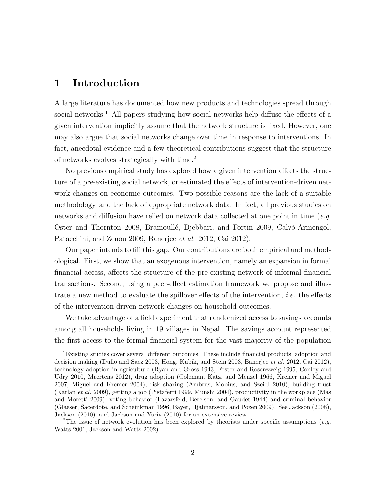# 1 Introduction

A large literature has documented how new products and technologies spread through social networks.<sup>1</sup> All papers studying how social networks help diffuse the effects of a given intervention implicitly assume that the network structure is fixed. However, one may also argue that social networks change over time in response to interventions. In fact, anecdotal evidence and a few theoretical contributions suggest that the structure of networks evolves strategically with time.<sup>2</sup>

No previous empirical study has explored how a given intervention affects the structure of a pre-existing social network, or estimated the effects of intervention-driven network changes on economic outcomes. Two possible reasons are the lack of a suitable methodology, and the lack of appropriate network data. In fact, all previous studies on networks and diffusion have relied on network data collected at one point in time ( $e.g.$ Oster and Thornton 2008, Bramoullé, Djebbari, and Fortin 2009, Calvó-Armengol, Patacchini, and Zenou 2009, Banerjee et al. 2012, Cai 2012).

Our paper intends to fill this gap. Our contributions are both empirical and methodological. First, we show that an exogenous intervention, namely an expansion in formal financial access, affects the structure of the pre-existing network of informal financial transactions. Second, using a peer-effect estimation framework we propose and illustrate a new method to evaluate the spillover effects of the intervention, *i.e.* the effects of the intervention-driven network changes on household outcomes.

We take advantage of a field experiment that randomized access to savings accounts among all households living in 19 villages in Nepal. The savings account represented the first access to the formal financial system for the vast majority of the population

<sup>1</sup>Existing studies cover several different outcomes. These include financial products' adoption and decision making (Duflo and Saez 2003, Hong, Kubik, and Stein 2003, Banerjee et al. 2012, Cai 2012), technology adoption in agriculture (Ryan and Gross 1943, Foster and Rosenzweig 1995, Conley and Udry 2010, Maertens 2012), drug adoption (Coleman, Katz, and Menzel 1966, Kremer and Miguel 2007, Miguel and Kremer 2004), risk sharing (Ambrus, Mobius, and Szeidl 2010), building trust (Karlan et al. 2009), getting a job (Pistaferri 1999, Munshi 2004), productivity in the workplace (Mas and Moretti 2009), voting behavior (Lazarsfeld, Berelson, and Gaudet 1944) and criminal behavior (Glaeser, Sacerdote, and Scheinkman 1996, Bayer, Hjalmarsson, and Pozen 2009). See Jackson (2008), Jackson (2010), and Jackson and Yariv (2010) for an extensive review.

<sup>&</sup>lt;sup>2</sup>The issue of network evolution has been explored by theorists under specific assumptions (*e.g.*) Watts 2001, Jackson and Watts 2002).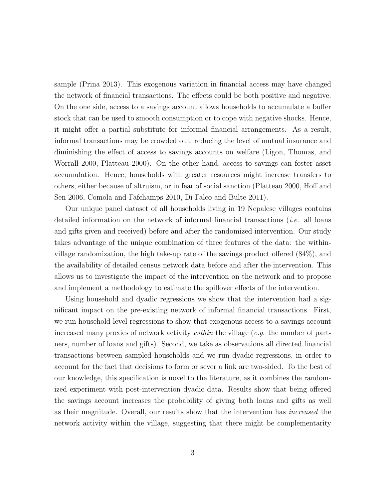sample (Prina 2013). This exogenous variation in financial access may have changed the network of financial transactions. The effects could be both positive and negative. On the one side, access to a savings account allows households to accumulate a buffer stock that can be used to smooth consumption or to cope with negative shocks. Hence, it might offer a partial substitute for informal financial arrangements. As a result, informal transactions may be crowded out, reducing the level of mutual insurance and diminishing the effect of access to savings accounts on welfare (Ligon, Thomas, and Worrall 2000, Platteau 2000). On the other hand, access to savings can foster asset accumulation. Hence, households with greater resources might increase transfers to others, either because of altruism, or in fear of social sanction (Platteau 2000, Hoff and Sen 2006, Comola and Fafchamps 2010, Di Falco and Bulte 2011).

Our unique panel dataset of all households living in 19 Nepalese villages contains detailed information on the network of informal financial transactions (i.e. all loans and gifts given and received) before and after the randomized intervention. Our study takes advantage of the unique combination of three features of the data: the withinvillage randomization, the high take-up rate of the savings product offered (84%), and the availability of detailed census network data before and after the intervention. This allows us to investigate the impact of the intervention on the network and to propose and implement a methodology to estimate the spillover effects of the intervention.

Using household and dyadic regressions we show that the intervention had a significant impact on the pre-existing network of informal financial transactions. First, we run household-level regressions to show that exogenous access to a savings account increased many proxies of network activity *within* the village (*e.g.* the number of partners, number of loans and gifts). Second, we take as observations all directed financial transactions between sampled households and we run dyadic regressions, in order to account for the fact that decisions to form or sever a link are two-sided. To the best of our knowledge, this specification is novel to the literature, as it combines the randomized experiment with post-intervention dyadic data. Results show that being offered the savings account increases the probability of giving both loans and gifts as well as their magnitude. Overall, our results show that the intervention has increased the network activity within the village, suggesting that there might be complementarity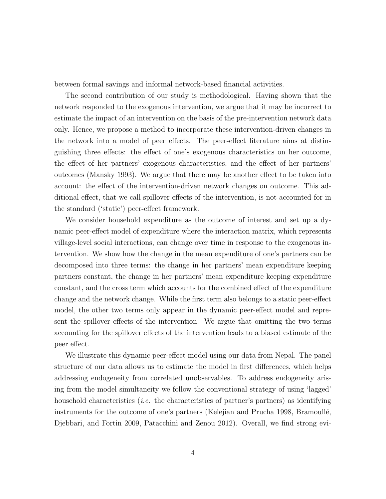between formal savings and informal network-based financial activities.

The second contribution of our study is methodological. Having shown that the network responded to the exogenous intervention, we argue that it may be incorrect to estimate the impact of an intervention on the basis of the pre-intervention network data only. Hence, we propose a method to incorporate these intervention-driven changes in the network into a model of peer effects. The peer-effect literature aims at distinguishing three effects: the effect of one's exogenous characteristics on her outcome, the effect of her partners' exogenous characteristics, and the effect of her partners' outcomes (Mansky 1993). We argue that there may be another effect to be taken into account: the effect of the intervention-driven network changes on outcome. This additional effect, that we call spillover effects of the intervention, is not accounted for in the standard ('static') peer-effect framework.

We consider household expenditure as the outcome of interest and set up a dynamic peer-effect model of expenditure where the interaction matrix, which represents village-level social interactions, can change over time in response to the exogenous intervention. We show how the change in the mean expenditure of one's partners can be decomposed into three terms: the change in her partners' mean expenditure keeping partners constant, the change in her partners' mean expenditure keeping expenditure constant, and the cross term which accounts for the combined effect of the expenditure change and the network change. While the first term also belongs to a static peer-effect model, the other two terms only appear in the dynamic peer-effect model and represent the spillover effects of the intervention. We argue that omitting the two terms accounting for the spillover effects of the intervention leads to a biased estimate of the peer effect.

We illustrate this dynamic peer-effect model using our data from Nepal. The panel structure of our data allows us to estimate the model in first differences, which helps addressing endogeneity from correlated unobservables. To address endogeneity arising from the model simultaneity we follow the conventional strategy of using 'lagged' household characteristics (*i.e.* the characteristics of partner's partners) as identifying instruments for the outcome of one's partners (Kelejian and Prucha 1998, Bramoullé, Djebbari, and Fortin 2009, Patacchini and Zenou 2012). Overall, we find strong evi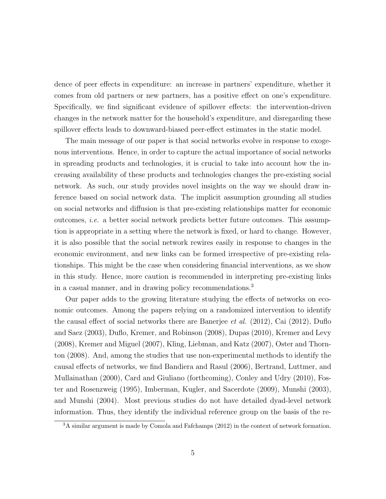dence of peer effects in expenditure: an increase in partners' expenditure, whether it comes from old partners or new partners, has a positive effect on one's expenditure. Specifically, we find significant evidence of spillover effects: the intervention-driven changes in the network matter for the household's expenditure, and disregarding these spillover effects leads to downward-biased peer-effect estimates in the static model.

The main message of our paper is that social networks evolve in response to exogenous interventions. Hence, in order to capture the actual importance of social networks in spreading products and technologies, it is crucial to take into account how the increasing availability of these products and technologies changes the pre-existing social network. As such, our study provides novel insights on the way we should draw inference based on social network data. The implicit assumption grounding all studies on social networks and diffusion is that pre-existing relationships matter for economic outcomes, i.e. a better social network predicts better future outcomes. This assumption is appropriate in a setting where the network is fixed, or hard to change. However, it is also possible that the social network rewires easily in response to changes in the economic environment, and new links can be formed irrespective of pre-existing relationships. This might be the case when considering financial interventions, as we show in this study. Hence, more caution is recommended in interpreting pre-existing links in a casual manner, and in drawing policy recommendations.<sup>3</sup>

Our paper adds to the growing literature studying the effects of networks on economic outcomes. Among the papers relying on a randomized intervention to identify the causal effect of social networks there are Banerjee et al. (2012), Cai (2012), Duflo and Saez (2003), Duflo, Kremer, and Robinson (2008), Dupas (2010), Kremer and Levy (2008), Kremer and Miguel (2007), Kling, Liebman, and Katz (2007), Oster and Thornton (2008). And, among the studies that use non-experimental methods to identify the causal effects of networks, we find Bandiera and Rasul (2006), Bertrand, Luttmer, and Mullainathan (2000), Card and Giuliano (forthcoming), Conley and Udry (2010), Foster and Rosenzweig (1995), Imberman, Kugler, and Sacerdote (2009), Munshi (2003), and Munshi (2004). Most previous studies do not have detailed dyad-level network information. Thus, they identify the individual reference group on the basis of the re-

<sup>&</sup>lt;sup>3</sup>A similar argument is made by Comola and Fafchamps (2012) in the context of network formation.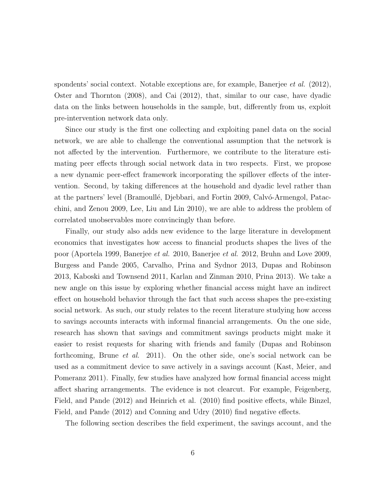spondents' social context. Notable exceptions are, for example, Banerjee *et al.* (2012), Oster and Thornton (2008), and Cai (2012), that, similar to our case, have dyadic data on the links between households in the sample, but, differently from us, exploit pre-intervention network data only.

Since our study is the first one collecting and exploiting panel data on the social network, we are able to challenge the conventional assumption that the network is not affected by the intervention. Furthermore, we contribute to the literature estimating peer effects through social network data in two respects. First, we propose a new dynamic peer-effect framework incorporating the spillover effects of the intervention. Second, by taking differences at the household and dyadic level rather than at the partners' level (Bramoullé, Djebbari, and Fortin 2009, Calvó-Armengol, Patacchini, and Zenou 2009, Lee, Liu and Lin 2010), we are able to address the problem of correlated unobservables more convincingly than before.

Finally, our study also adds new evidence to the large literature in development economics that investigates how access to financial products shapes the lives of the poor (Aportela 1999, Banerjee et al. 2010, Banerjee et al. 2012, Bruhn and Love 2009, Burgess and Pande 2005, Carvalho, Prina and Sydnor 2013, Dupas and Robinson 2013, Kaboski and Townsend 2011, Karlan and Zinman 2010, Prina 2013). We take a new angle on this issue by exploring whether financial access might have an indirect effect on household behavior through the fact that such access shapes the pre-existing social network. As such, our study relates to the recent literature studying how access to savings accounts interacts with informal financial arrangements. On the one side, research has shown that savings and commitment savings products might make it easier to resist requests for sharing with friends and family (Dupas and Robinson forthcoming, Brune et al. 2011). On the other side, one's social network can be used as a commitment device to save actively in a savings account (Kast, Meier, and Pomeranz 2011). Finally, few studies have analyzed how formal financial access might affect sharing arrangements. The evidence is not clearcut. For example, Feigenberg, Field, and Pande (2012) and Heinrich et al. (2010) find positive effects, while Binzel, Field, and Pande (2012) and Conning and Udry (2010) find negative effects.

The following section describes the field experiment, the savings account, and the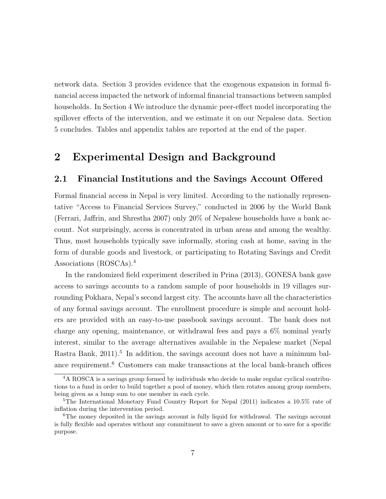network data. Section 3 provides evidence that the exogenous expansion in formal financial access impacted the network of informal financial transactions between sampled households. In Section 4 We introduce the dynamic peer-effect model incorporating the spillover effects of the intervention, and we estimate it on our Nepalese data. Section 5 concludes. Tables and appendix tables are reported at the end of the paper.

# 2 Experimental Design and Background

### 2.1 Financial Institutions and the Savings Account Offered

Formal financial access in Nepal is very limited. According to the nationally representative "Access to Financial Services Survey," conducted in 2006 by the World Bank (Ferrari, Jaffrin, and Shrestha 2007) only 20% of Nepalese households have a bank account. Not surprisingly, access is concentrated in urban areas and among the wealthy. Thus, most households typically save informally, storing cash at home, saving in the form of durable goods and livestock, or participating to Rotating Savings and Credit Associations (ROSCAs).<sup>4</sup>

In the randomized field experiment described in Prina (2013), GONESA bank gave access to savings accounts to a random sample of poor households in 19 villages surrounding Pokhara, Nepal's second largest city. The accounts have all the characteristics of any formal savings account. The enrollment procedure is simple and account holders are provided with an easy-to-use passbook savings account. The bank does not charge any opening, maintenance, or withdrawal fees and pays a 6% nominal yearly interest, similar to the average alternatives available in the Nepalese market (Nepal Rastra Bank,  $2011$ <sup>5</sup>. In addition, the savings account does not have a minimum balance requirement.<sup>6</sup> Customers can make transactions at the local bank-branch offices

<sup>4</sup>A ROSCA is a savings group formed by individuals who decide to make regular cyclical contributions to a fund in order to build together a pool of money, which then rotates among group members, being given as a lump sum to one member in each cycle.

<sup>5</sup>The International Monetary Fund Country Report for Nepal (2011) indicates a 10.5% rate of inflation during the intervention period.

<sup>6</sup>The money deposited in the savings account is fully liquid for withdrawal. The savings account is fully flexible and operates without any commitment to save a given amount or to save for a specific purpose.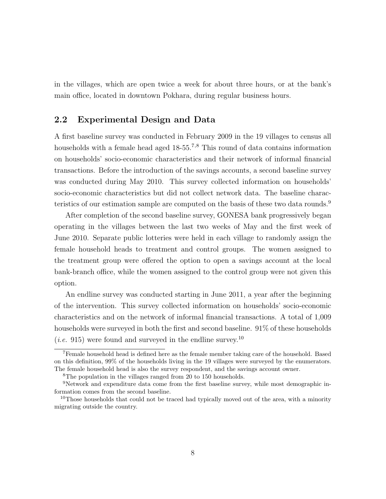in the villages, which are open twice a week for about three hours, or at the bank's main office, located in downtown Pokhara, during regular business hours.

### 2.2 Experimental Design and Data

A first baseline survey was conducted in February 2009 in the 19 villages to census all households with a female head aged 18-55.<sup>7,8</sup> This round of data contains information on households' socio-economic characteristics and their network of informal financial transactions. Before the introduction of the savings accounts, a second baseline survey was conducted during May 2010. This survey collected information on households' socio-economic characteristics but did not collect network data. The baseline characteristics of our estimation sample are computed on the basis of these two data rounds.<sup>9</sup>

After completion of the second baseline survey, GONESA bank progressively began operating in the villages between the last two weeks of May and the first week of June 2010. Separate public lotteries were held in each village to randomly assign the female household heads to treatment and control groups. The women assigned to the treatment group were offered the option to open a savings account at the local bank-branch office, while the women assigned to the control group were not given this option.

An endline survey was conducted starting in June 2011, a year after the beginning of the intervention. This survey collected information on households' socio-economic characteristics and on the network of informal financial transactions. A total of 1,009 households were surveyed in both the first and second baseline. 91% of these households (*i.e.* 915) were found and surveyed in the endline survey.<sup>10</sup>

<sup>7</sup>Female household head is defined here as the female member taking care of the household. Based on this definition, 99% of the households living in the 19 villages were surveyed by the enumerators. The female household head is also the survey respondent, and the savings account owner.

<sup>&</sup>lt;sup>8</sup>The population in the villages ranged from 20 to 150 households.

<sup>9</sup>Network and expenditure data come from the first baseline survey, while most demographic information comes from the second baseline.

<sup>&</sup>lt;sup>10</sup>Those households that could not be traced had typically moved out of the area, with a minority migrating outside the country.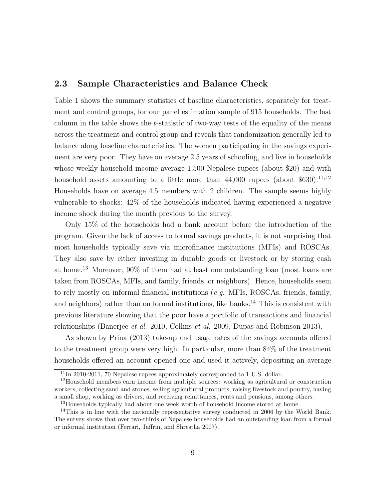# 2.3 Sample Characteristics and Balance Check

Table 1 shows the summary statistics of baseline characteristics, separately for treatment and control groups, for our panel estimation sample of 915 households. The last column in the table shows the t-statistic of two-way tests of the equality of the means across the treatment and control group and reveals that randomization generally led to balance along baseline characteristics. The women participating in the savings experiment are very poor. They have on average 2.5 years of schooling, and live in households whose weekly household income average 1,500 Nepalese rupees (about \$20) and with household assets amounting to a little more than  $44,000$  rupees (about \$630).<sup>11,12</sup> Households have on average 4.5 members with 2 children. The sample seems highly vulnerable to shocks: 42% of the households indicated having experienced a negative income shock during the month previous to the survey.

Only 15% of the households had a bank account before the introduction of the program. Given the lack of access to formal savings products, it is not surprising that most households typically save via microfinance institutions (MFIs) and ROSCAs. They also save by either investing in durable goods or livestock or by storing cash at home.<sup>13</sup> Moreover, 90% of them had at least one outstanding loan (most loans are taken from ROSCAs, MFIs, and family, friends, or neighbors). Hence, households seem to rely mostly on informal financial institutions (e.g. MFIs, ROSCAs, friends, family, and neighbors) rather than on formal institutions, like banks.<sup>14</sup> This is consistent with previous literature showing that the poor have a portfolio of transactions and financial relationships (Banerjee et al. 2010, Collins et al. 2009, Dupas and Robinson 2013).

As shown by Prina (2013) take-up and usage rates of the savings accounts offered to the treatment group were very high. In particular, more than 84% of the treatment households offered an account opened one and used it actively, depositing an average

 $11$ In 2010-2011, 70 Nepalese rupees approximately corresponded to 1 U.S. dollar.

<sup>&</sup>lt;sup>12</sup>Household members earn income from multiple sources: working as agricultural or construction workers, collecting sand and stones, selling agricultural products, raising livestock and poultry, having a small shop, working as drivers, and receiving remittances, rents and pensions, among others.

<sup>&</sup>lt;sup>13</sup>Households typically had about one week worth of household income stored at home.

<sup>&</sup>lt;sup>14</sup>This is in line with the nationally representative survey conducted in 2006 by the World Bank. The survey shows that over two-thirds of Nepalese households had an outstanding loan from a formal or informal institution (Ferrari, Jaffrin, and Shrestha 2007).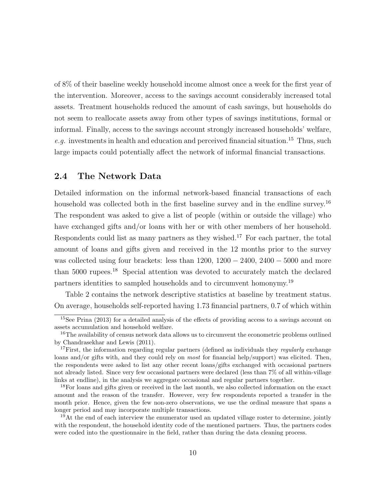of 8% of their baseline weekly household income almost once a week for the first year of the intervention. Moreover, access to the savings account considerably increased total assets. Treatment households reduced the amount of cash savings, but households do not seem to reallocate assets away from other types of savings institutions, formal or informal. Finally, access to the savings account strongly increased households' welfare, e.g. investments in health and education and perceived financial situation.<sup>15</sup> Thus, such large impacts could potentially affect the network of informal financial transactions.

# 2.4 The Network Data

Detailed information on the informal network-based financial transactions of each household was collected both in the first baseline survey and in the endline survey.<sup>16</sup> The respondent was asked to give a list of people (within or outside the village) who have exchanged gifts and/or loans with her or with other members of her household. Respondents could list as many partners as they wished.<sup>17</sup> For each partner, the total amount of loans and gifts given and received in the 12 months prior to the survey was collected using four brackets: less than  $1200, 1200 - 2400, 2400 - 5000$  and more than 5000 rupees.<sup>18</sup> Special attention was devoted to accurately match the declared partners identities to sampled households and to circumvent homonymy.<sup>19</sup>

Table 2 contains the network descriptive statistics at baseline by treatment status. On average, households self-reported having 1.73 financial partners, 0.7 of which within

<sup>&</sup>lt;sup>15</sup>See Prina (2013) for a detailed analysis of the effects of providing access to a savings account on assets accumulation and household welfare.

<sup>&</sup>lt;sup>16</sup>The availability of census network data allows us to circumvent the econometric problems outlined by Chandrasekhar and Lewis (2011).

<sup>&</sup>lt;sup>17</sup>First, the information regarding regular partners (defined as individuals they *regularly* exchange loans and/or gifts with, and they could rely on most for financial help/support) was elicited. Then, the respondents were asked to list any other recent loans/gifts exchanged with occasional partners not already listed. Since very few occasional partners were declared (less than 7% of all within-village links at endline), in the analysis we aggregate occasional and regular partners together.

<sup>&</sup>lt;sup>18</sup>For loans and gifts given or received in the last month, we also collected information on the exact amount and the reason of the transfer. However, very few respondents reported a transfer in the month prior. Hence, given the few non-zero observations, we use the ordinal measure that spans a longer period and may incorporate multiple transactions.

<sup>&</sup>lt;sup>19</sup>At the end of each interview the enumerator used an updated village roster to determine, jointly with the respondent, the household identity code of the mentioned partners. Thus, the partners codes were coded into the questionnaire in the field, rather than during the data cleaning process.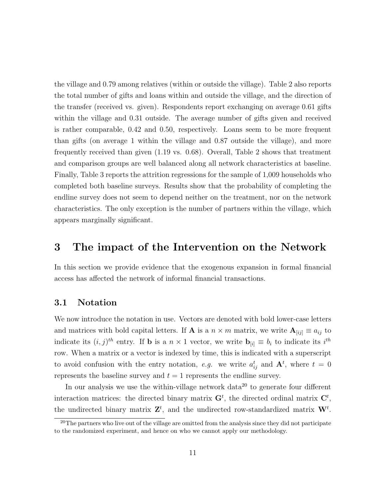the village and 0.79 among relatives (within or outside the village). Table 2 also reports the total number of gifts and loans within and outside the village, and the direction of the transfer (received vs. given). Respondents report exchanging on average 0.61 gifts within the village and 0.31 outside. The average number of gifts given and received is rather comparable, 0.42 and 0.50, respectively. Loans seem to be more frequent than gifts (on average 1 within the village and 0.87 outside the village), and more frequently received than given (1.19 vs. 0.68). Overall, Table 2 shows that treatment and comparison groups are well balanced along all network characteristics at baseline. Finally, Table 3 reports the attrition regressions for the sample of 1,009 households who completed both baseline surveys. Results show that the probability of completing the endline survey does not seem to depend neither on the treatment, nor on the network characteristics. The only exception is the number of partners within the village, which appears marginally significant.

# 3 The impact of the Intervention on the Network

In this section we provide evidence that the exogenous expansion in formal financial access has affected the network of informal financial transactions.

# 3.1 Notation

We now introduce the notation in use. Vectors are denoted with bold lower-case letters and matrices with bold capital letters. If **A** is a  $n \times m$  matrix, we write  $\mathbf{A}_{[ij]} \equiv a_{ij}$  to indicate its  $(i, j)^{th}$  entry. If **b** is a  $n \times 1$  vector, we write  $\mathbf{b}_{[i]} \equiv b_i$  to indicate its  $i^{th}$ row. When a matrix or a vector is indexed by time, this is indicated with a superscript to avoid confusion with the entry notation, e.g. we write  $a_{ij}^t$  and  $\mathbf{A}^t$ , where  $t = 0$ represents the baseline survey and  $t = 1$  represents the endline survey.

In our analysis we use the within-village network  $data^{20}$  to generate four different interaction matrices: the directed binary matrix  $G<sup>t</sup>$ , the directed ordinal matrix  $C<sup>t</sup>$ , the undirected binary matrix  $\mathbf{Z}^t$ , and the undirected row-standardized matrix  $\mathbf{W}^t$ .

 $20$ <sup>20</sup>The partners who live out of the village are omitted from the analysis since they did not participate to the randomized experiment, and hence on who we cannot apply our methodology.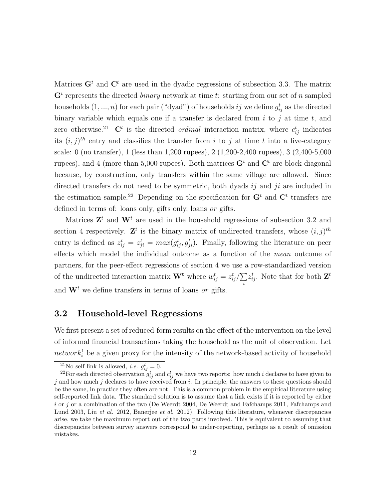Matrices  $G<sup>t</sup>$  and  $C<sup>t</sup>$  are used in the dyadic regressions of subsection 3.3. The matrix  $\mathbf{G}^t$  represents the directed *binary* network at time t: starting from our set of n sampled households  $(1, ..., n)$  for each pair ("dyad") of households  $ij$  we define  $g_{ij}^t$  as the directed binary variable which equals one if a transfer is declared from  $i$  to  $j$  at time  $t$ , and zero otherwise.<sup>21</sup> C<sup>t</sup> is the directed *ordinal* interaction matrix, where  $c_{ij}^t$  indicates its  $(i, j)$ <sup>th</sup> entry and classifies the transfer from i to j at time t into a five-category scale: 0 (no transfer), 1 (less than 1,200 rupees), 2 (1,200-2,400 rupees), 3 (2,400-5,000 rupees), and 4 (more than 5,000 rupees). Both matrices  $G<sup>t</sup>$  and  $C<sup>t</sup>$  are block-diagonal because, by construction, only transfers within the same village are allowed. Since directed transfers do not need to be symmetric, both dyads  $ij$  and  $ji$  are included in the estimation sample.<sup>22</sup> Depending on the specification for  $G<sup>t</sup>$  and  $C<sup>t</sup>$  transfers are defined in terms of: loans only, gifts only, loans *or gifts*.

Matrices  $\mathbf{Z}^t$  and  $\mathbf{W}^t$  are used in the household regressions of subsection 3.2 and section 4 respectively.  $\mathbf{Z}^t$  is the binary matrix of undirected transfers, whose  $(i, j)^{th}$ entry is defined as  $z_{ij}^t = z_{ji}^t = max(g_{ij}^t, g_{ji}^t)$ . Finally, following the literature on peer effects which model the individual outcome as a function of the mean outcome of partners, for the peer-effect regressions of section 4 we use a row-standardized version of the undirected interaction matrix  $\mathbf{W}^{\mathbf{t}}$  where  $w_{ij}^{t} = z_{ij}^{t}/\sum$ i  $z_{ij}^t$ . Note that for both  $\mathbf{Z}^t$ and  $\mathbf{W}^t$  we define transfers in terms of loans *or* gifts.

### 3.2 Household-level Regressions

We first present a set of reduced-form results on the effect of the intervention on the level of informal financial transactions taking the household as the unit of observation. Let  $network<sub>i</sub><sup>1</sup>$  be a given proxy for the intensity of the network-based activity of household

<sup>&</sup>lt;sup>21</sup>No self link is allowed, *i.e.*  $g_{ij}^t = 0$ .

<sup>&</sup>lt;sup>22</sup>For each directed observation  $g_{ij}^t$  and  $c_{ij}^t$  we have two reports: how much i declares to have given to j and how much j declares to have received from i. In principle, the answers to these questions should be the same, in practice they often are not. This is a common problem in the empirical literature using self-reported link data. The standard solution is to assume that a link exists if it is reported by either  $i$  or  $j$  or a combination of the two (De Weerdt 2004, De Weerdt and Fafchamps 2011, Fafchamps and Lund 2003, Liu et al. 2012, Banerjee et al. 2012). Following this literature, whenever discrepancies arise, we take the maximum report out of the two parts involved. This is equivalent to assuming that discrepancies between survey answers correspond to under-reporting, perhaps as a result of omission mistakes.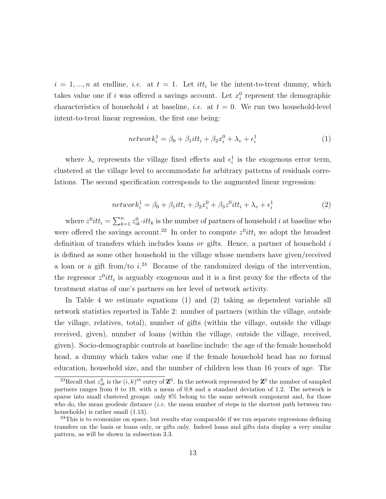$i = 1, ..., n$  at endline, *i.e.* at  $t = 1$ . Let *itt<sub>i</sub>* be the intent-to-treat dummy, which takes value one if i was offered a savings account. Let  $x_i^0$  represent the demographic characteristics of household i at baseline, i.e. at  $t = 0$ . We run two household-level intent-to-treat linear regression, the first one being:

$$
network_i^1 = \beta_0 + \beta_1 itt_i + \beta_2 x_i^0 + \lambda_v + \epsilon_i^1 \tag{1}
$$

where  $\lambda_v$  represents the village fixed effects and  $\epsilon_i^1$  is the exogenous error term, clustered at the village level to accommodate for arbitrary patterns of residuals correlations. The second specification corresponds to the augmented linear regression:

$$
network_i^1 = \beta_0 + \beta_1 itt_i + \beta_2 x_i^0 + \beta_3 z^0 itt_i + \lambda_v + \epsilon_i^1
$$
\n<sup>(2)</sup>

where  $z^0$ itt<sub>i</sub> =  $\sum_{k=1}^n z_{ik}^0 \cdot it$  is the number of partners of household i at baseline who were offered the savings account.<sup>23</sup> In order to compute  $z^0$ *itt<sub>i</sub>* we adopt the broadest definition of transfers which includes loans *or* gifts. Hence, a partner of household  $i$ is defined as some other household in the village whose members have given/received a loan or a gift from/to  $i^{24}$  Because of the randomized design of the intervention, the regressor  $z^0$ *itt<sub>i</sub>* is arguably exogenous and it is a first proxy for the effects of the treatment status of one's partners on her level of network activity.

In Table 4 we estimate equations (1) and (2) taking as dependent variable all network statistics reported in Table 2: number of partners (within the village, outside the village, relatives, total), number of gifts (within the village, outside the village received, given), number of loans (within the village, outside the village, received, given). Socio-demographic controls at baseline include: the age of the female household head, a dummy which takes value one if the female household head has no formal education, household size, and the number of children less than 16 years of age. The

<sup>&</sup>lt;sup>23</sup>Recall that  $z_{ik}^0$  is the  $(i,k)^{th}$  entry of  $\mathbb{Z}^0$ . In the network represented by  $\mathbb{Z}^0$  the number of sampled partners ranges from 0 to 19, with a mean of 0.8 and a standard deviation of 1.2. The network is sparse into small clustered groups: only 8% belong to the same network component and, for those who do, the mean geodesic distance  $(i.e.$  the mean number of steps in the shortest path between two households) is rather small (1.13).

 $24$ This is to economize on space, but results stay comparable if we run separate regressions defining transfers on the basis or loans only, or gifts only. Indeed loans and gifts data display a very similar pattern, as will be shown in subsection 3.3.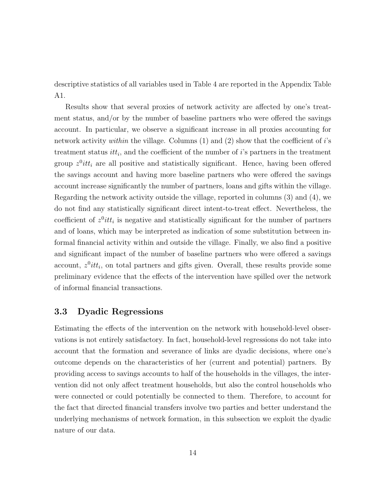descriptive statistics of all variables used in Table 4 are reported in the Appendix Table A1.

Results show that several proxies of network activity are affected by one's treatment status, and/or by the number of baseline partners who were offered the savings account. In particular, we observe a significant increase in all proxies accounting for network activity *within* the village. Columns  $(1)$  and  $(2)$  show that the coefficient of i's treatment status  $it_{i}$ , and the coefficient of the number of i's partners in the treatment group  $z^0$ *itt<sub>i</sub>* are all positive and statistically significant. Hence, having been offered the savings account and having more baseline partners who were offered the savings account increase significantly the number of partners, loans and gifts within the village. Regarding the network activity outside the village, reported in columns (3) and (4), we do not find any statistically significant direct intent-to-treat effect. Nevertheless, the coefficient of  $z^0$ itt<sub>i</sub> is negative and statistically significant for the number of partners and of loans, which may be interpreted as indication of some substitution between informal financial activity within and outside the village. Finally, we also find a positive and significant impact of the number of baseline partners who were offered a savings account,  $z^0$ itt<sub>i</sub>, on total partners and gifts given. Overall, these results provide some preliminary evidence that the effects of the intervention have spilled over the network of informal financial transactions.

# 3.3 Dyadic Regressions

Estimating the effects of the intervention on the network with household-level observations is not entirely satisfactory. In fact, household-level regressions do not take into account that the formation and severance of links are dyadic decisions, where one's outcome depends on the characteristics of her (current and potential) partners. By providing access to savings accounts to half of the households in the villages, the intervention did not only affect treatment households, but also the control households who were connected or could potentially be connected to them. Therefore, to account for the fact that directed financial transfers involve two parties and better understand the underlying mechanisms of network formation, in this subsection we exploit the dyadic nature of our data.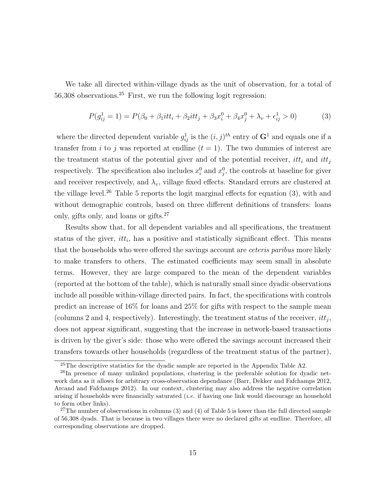We take all directed within-village dyads as the unit of observation, for a total of  $56,308$  observations.<sup>25</sup> First, we run the following logit regression:

$$
P(g_{ij}^1 = 1) = P(\beta_0 + \beta_1 itt_i + \beta_2 itt_j + \beta_3 x_i^0 + \beta_4 x_j^0 + \lambda_v + \epsilon_{ij}^1 > 0)
$$
 (3)

where the directed dependent variable  $g_{ij}^1$  is the  $(i, j)^{th}$  entry of  $G^1$  and equals one if a transfer from i to j was reported at endline  $(t = 1)$ . The two dummies of interest are the treatment status of the potential giver and of the potential receiver,  $it_t$  and  $it_t$ respectively. The specification also includes  $x_i^0$  and  $x_j^0$ , the controls at baseline for given and receiver respectively, and  $\lambda_v$ , village fixed effects. Standard errors are clustered at the village level.<sup>26</sup> Table 5 reports the logit marginal effects for equation (3), with and without demographic controls, based on three different definitions of transfers: loans only, gifts only, and loans or gifts.<sup>27</sup>

Results show that, for all dependent variables and all specifications, the treatment status of the giver,  $it_t$ , has a positive and statistically significant effect. This means that the households who were offered the savings account are *ceteris paribus* more likely to make transfers to others. The estimated coefficients may seem small in absolute terms. However, they are large compared to the mean of the dependent variables (reported at the bottom of the table), which is naturally small since dyadic observations include all possible within-village directed pairs. In fact, the specifications with controls predict an increase of 16% for loans and 25% for gifts with respect to the sample mean (columns 2 and 4, respectively). Interestingly, the treatment status of the receiver,  $itt_j$ , does not appear significant, suggesting that the increase in network-based transactions is driven by the giver's side: those who were offered the savings account increased their transfers towards other households (regardless of the treatment status of the partner),

<sup>25</sup>The descriptive statistics for the dyadic sample are reported in the Appendix Table A2.

<sup>&</sup>lt;sup>26</sup>In presence of many unlinked populations, clustering is the preferable solution for dyadic network data as it allows for arbitrary cross-observation dependance (Barr, Dekker and Fafchamps 2012, Arcand and Fafchamps 2012). In our context, clustering may also address the negative correlation arising if households were financially saturated *(i.e.* if having one link would discourage an household to form other links).

 $27$ The number of observations in columns (3) and (4) of Table 5 is lower than the full directed sample of 56,308 dyads. That is because in two villages there were no declared gifts at endline. Therefore, all corresponding observations are dropped.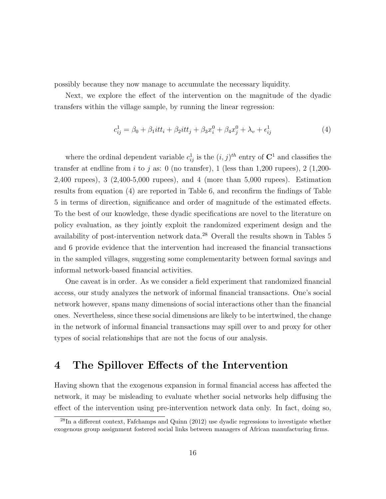possibly because they now manage to accumulate the necessary liquidity.

Next, we explore the effect of the intervention on the magnitude of the dyadic transfers within the village sample, by running the linear regression:

$$
c_{ij}^1 = \beta_0 + \beta_1 itt_i + \beta_2 itt_j + \beta_3 x_i^0 + \beta_4 x_j^0 + \lambda_v + \epsilon_{ij}^1
$$
 (4)

where the ordinal dependent variable  $c_{ij}^1$  is the  $(i, j)^{th}$  entry of  $\mathbb{C}^1$  and classifies the transfer at endline from i to j as: 0 (no transfer), 1 (less than 1,200 rupees), 2 (1,200-2,400 rupees), 3 (2,400-5,000 rupees), and 4 (more than 5,000 rupees). Estimation results from equation (4) are reported in Table 6, and reconfirm the findings of Table 5 in terms of direction, significance and order of magnitude of the estimated effects. To the best of our knowledge, these dyadic specifications are novel to the literature on policy evaluation, as they jointly exploit the randomized experiment design and the availability of post-intervention network data.<sup>28</sup> Overall the results shown in Tables 5 and 6 provide evidence that the intervention had increased the financial transactions in the sampled villages, suggesting some complementarity between formal savings and informal network-based financial activities.

One caveat is in order. As we consider a field experiment that randomized financial access, our study analyzes the network of informal financial transactions. One's social network however, spans many dimensions of social interactions other than the financial ones. Nevertheless, since these social dimensions are likely to be intertwined, the change in the network of informal financial transactions may spill over to and proxy for other types of social relationships that are not the focus of our analysis.

# 4 The Spillover Effects of the Intervention

Having shown that the exogenous expansion in formal financial access has affected the network, it may be misleading to evaluate whether social networks help diffusing the effect of the intervention using pre-intervention network data only. In fact, doing so,

<sup>28</sup>In a different context, Fafchamps and Quinn (2012) use dyadic regressions to investigate whether exogenous group assignment fostered social links between managers of African manufacturing firms.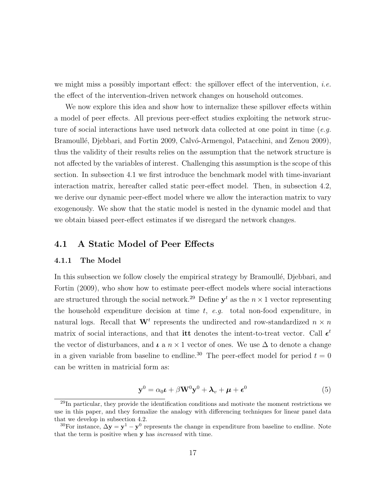we might miss a possibly important effect: the spillover effect of the intervention, *i.e.* the effect of the intervention-driven network changes on household outcomes.

We now explore this idea and show how to internalize these spillover effects within a model of peer effects. All previous peer-effect studies exploiting the network structure of social interactions have used network data collected at one point in time ( $e.g.$ Bramoullé, Djebbari, and Fortin 2009, Calvó-Armengol, Patacchini, and Zenou 2009), thus the validity of their results relies on the assumption that the network structure is not affected by the variables of interest. Challenging this assumption is the scope of this section. In subsection 4.1 we first introduce the benchmark model with time-invariant interaction matrix, hereafter called static peer-effect model. Then, in subsection 4.2, we derive our dynamic peer-effect model where we allow the interaction matrix to vary exogenously. We show that the static model is nested in the dynamic model and that we obtain biased peer-effect estimates if we disregard the network changes.

# 4.1 A Static Model of Peer Effects

#### 4.1.1 The Model

In this subsection we follow closely the empirical strategy by Bramoullé, Djebbari, and Fortin (2009), who show how to estimate peer-effect models where social interactions are structured through the social network.<sup>29</sup> Define  $y<sup>t</sup>$  as the  $n \times 1$  vector representing the household expenditure decision at time  $t$ , e.g. total non-food expenditure, in natural logs. Recall that  $\mathbf{W}^t$  represents the undirected and row-standardized  $n \times n$ matrix of social interactions, and that **itt** denotes the intent-to-treat vector. Call  $\epsilon^t$ the vector of disturbances, and  $\iota$  a  $n \times 1$  vector of ones. We use  $\Delta$  to denote a change in a given variable from baseline to endline.<sup>30</sup> The peer-effect model for period  $t = 0$ can be written in matricial form as:

$$
\mathbf{y}^0 = \alpha_0 \mathbf{t} + \beta \mathbf{W}^0 \mathbf{y}^0 + \mathbf{\lambda}_v + \mathbf{\mu} + \boldsymbol{\epsilon}^0 \tag{5}
$$

 $^{29}$ In particular, they provide the identification conditions and motivate the moment restrictions we use in this paper, and they formalize the analogy with differencing techniques for linear panel data that we develop in subsection 4.2.

<sup>&</sup>lt;sup>30</sup>For instance,  $\Delta y = y^1 - y^0$  represents the change in expenditure from baseline to endline. Note that the term is positive when y has increased with time.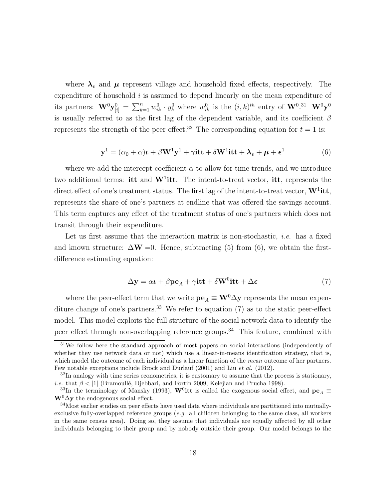where  $\lambda_v$  and  $\mu$  represent village and household fixed effects, respectively. The expenditure of household  $i$  is assumed to depend linearly on the mean expenditure of its partners:  $\mathbf{W}^0 \mathbf{y}_{[i]}^0 = \sum_{k=1}^n w_{ik}^0 \cdot y_k^0$  where  $w_{ik}^0$  is the  $(i, k)^{th}$  entry of  $\mathbf{W}^0$ .<sup>31</sup>  $\mathbf{W}^0 \mathbf{y}^0$ is usually referred to as the first lag of the dependent variable, and its coefficient  $\beta$ represents the strength of the peer effect.<sup>32</sup> The corresponding equation for  $t = 1$  is:

$$
\mathbf{y}^1 = (\alpha_0 + \alpha)\mathbf{L} + \beta \mathbf{W}^1 \mathbf{y}^1 + \gamma \mathbf{it} + \delta \mathbf{W}^1 \mathbf{it} + \mathbf{\lambda}_v + \mathbf{\mu} + \boldsymbol{\epsilon}^1 \tag{6}
$$

where we add the intercept coefficient  $\alpha$  to allow for time trends, and we introduce two additional terms: itt and  $W^1$ itt. The intent-to-treat vector, itt, represents the direct effect of one's treatment status. The first lag of the intent-to-treat vector,  $W^1$ itt, represents the share of one's partners at endline that was offered the savings account. This term captures any effect of the treatment status of one's partners which does not transit through their expenditure.

Let us first assume that the interaction matrix is non-stochastic, *i.e.* has a fixed and known structure:  $\Delta W = 0$ . Hence, subtracting (5) from (6), we obtain the firstdifference estimating equation:

$$
\Delta y = \alpha t + \beta p e_A + \gamma t t + \delta W^0 t t + \Delta \epsilon \tag{7}
$$

where the peer-effect term that we write  $\mathbf{pe}_A \equiv \mathbf{W}^0 \Delta \mathbf{y}$  represents the mean expenditure change of one's partners.<sup>33</sup> We refer to equation  $(7)$  as to the static peer-effect model. This model exploits the full structure of the social network data to identify the peer effect through non-overlapping reference groups.<sup>34</sup> This feature, combined with

 $31$ We follow here the standard approach of most papers on social interactions (independently of whether they use network data or not) which use a linear-in-means identification strategy, that is, which model the outcome of each individual as a linear function of the *mean* outcome of her partners. Few notable exceptions include Brock and Durlauf (2001) and Liu et al. (2012).

 $32$ In analogy with time series econometrics, it is customary to assume that the process is stationary, i.e. that  $\beta$  < |1| (Bramoullé, Djebbari, and Fortin 2009, Kelejian and Prucha 1998).

<sup>&</sup>lt;sup>33</sup>In the terminology of Mansky (1993), W<sup>0</sup>itt is called the exogenous social effect, and  ${\bf pe}_A \equiv$  $\mathbf{W}^0 \Delta \mathbf{y}$  the endogenous social effect.

<sup>34</sup>Most earlier studies on peer effects have used data where individuals are partitioned into mutuallyexclusive fully-overlapped reference groups  $(e, q, \text{ all children belonging to the same class, all workers})$ in the same census area). Doing so, they assume that individuals are equally affected by all other individuals belonging to their group and by nobody outside their group. Our model belongs to the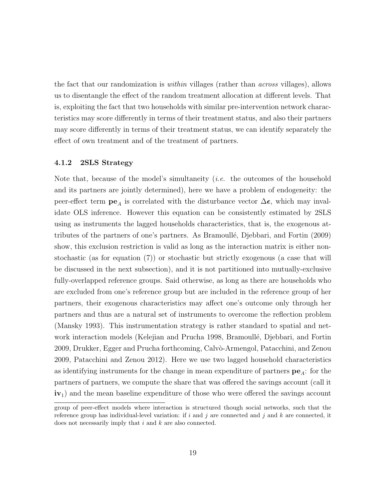the fact that our randomization is within villages (rather than across villages), allows us to disentangle the effect of the random treatment allocation at different levels. That is, exploiting the fact that two households with similar pre-intervention network characteristics may score differently in terms of their treatment status, and also their partners may score differently in terms of their treatment status, we can identify separately the effect of own treatment and of the treatment of partners.

#### 4.1.2 2SLS Strategy

Note that, because of the model's simultaneity (i.e. the outcomes of the household and its partners are jointly determined), here we have a problem of endogeneity: the peer-effect term  $pe_A$  is correlated with the disturbance vector  $\Delta \epsilon$ , which may invalidate OLS inference. However this equation can be consistently estimated by 2SLS using as instruments the lagged households characteristics, that is, the exogenous attributes of the partners of one's partners. As Bramoullé, Djebbari, and Fortin (2009) show, this exclusion restriction is valid as long as the interaction matrix is either nonstochastic (as for equation (7)) or stochastic but strictly exogenous (a case that will be discussed in the next subsection), and it is not partitioned into mutually-exclusive fully-overlapped reference groups. Said otherwise, as long as there are households who are excluded from one's reference group but are included in the reference group of her partners, their exogenous characteristics may affect one's outcome only through her partners and thus are a natural set of instruments to overcome the reflection problem (Mansky 1993). This instrumentation strategy is rather standard to spatial and network interaction models (Kelejian and Prucha 1998, Bramoullé, Djebbari, and Fortin 2009, Drukker, Egger and Prucha forthcoming, Calvò-Armengol, Patacchini, and Zenou 2009, Patacchini and Zenou 2012). Here we use two lagged household characteristics as identifying instruments for the change in mean expenditure of partners  $\mathbf{pe}_{A}$ : for the partners of partners, we compute the share that was offered the savings account (call it  $iv_1$ ) and the mean baseline expenditure of those who were offered the savings account

group of peer-effect models where interaction is structured though social networks, such that the reference group has individual-level variation: if i and j are connected and j and k are connected, it does not necessarily imply that  $i$  and  $k$  are also connected.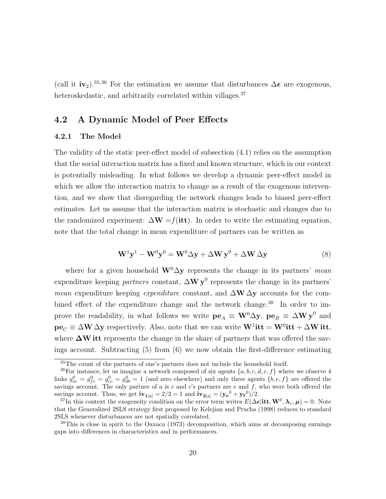(call it iv<sub>2</sub>).<sup>35,36</sup> For the estimation we assume that disturbances  $\Delta \epsilon$  are exogenous, heteroskedastic, and arbitrarily correlated within villages.<sup>37</sup>

# 4.2 A Dynamic Model of Peer Effects

#### 4.2.1 The Model

The validity of the static peer-effect model of subsection (4.1) relies on the assumption that the social interaction matrix has a fixed and known structure, which in our context is potentially misleading. In what follows we develop a dynamic peer-effect model in which we allow the interaction matrix to change as a result of the exogenous intervention, and we show that disregarding the network changes leads to biased peer-effect estimates. Let us assume that the interaction matrix is stochastic and changes due to the randomized experiment:  $\Delta W = f(itt)$ . In order to write the estimating equation, note that the total change in mean expenditure of partners can be written as

$$
\mathbf{W}^{1}\mathbf{y}^{1} - \mathbf{W}^{0}\mathbf{y}^{0} = \mathbf{W}^{0}\Delta\mathbf{y} + \Delta\mathbf{W}\mathbf{y}^{0} + \Delta\mathbf{W}\Delta\mathbf{y}
$$
\n(8)

where for a given household  $W<sup>0</sup> \Delta y$  represents the change in its partners' mean expenditure keeping *partners* constant,  $\Delta W y^0$  represents the change in its partners' *mean* expenditure keeping *expenditure* constant, and  $\Delta W \Delta y$  accounts for the combined effect of the expenditure change and the network change.<sup>38</sup> In order to improve the readability, in what follows we write  ${\bf pe}_A \equiv {\bf W}^0 \Delta {\bf y}$ ,  ${\bf pe}_B \equiv \Delta {\bf W} {\bf y}^0$  and  $pe_C \equiv \Delta W \Delta y$  respectively. Also, note that we can write  $W^1$ **itt** =  $W^0$ **itt** +  $\Delta W$ **itt**, where  $\Delta W$  itt represents the change in the share of partners that was offered the savings account. Subtracting (5) from (6) we now obtain the first-difference estimating

<sup>35</sup>The count of the partners of one's partners does not include the household itself.

<sup>&</sup>lt;sup>36</sup>For instance, let us imagine a network composed of six agents  $\{a, b, c, d, e, f\}$  where we observe 4 links  $g_{ac}^0 = g_{fc}^0 = g_{db}^0 = 1$  (and zero elsewhere) and only three agents  $\{b, e, f\}$  are offered the savings account. The only partner of  $a$  is  $c$  and  $c$ 's partners are  $e$  and  $f$ , who were both offered the savings account. Thus, we get  $iv_{1[a]} = 2/2 = 1$  and  $iv_{2[a]} = (y_e^0 + y_f^0)/2$ .

<sup>&</sup>lt;sup>37</sup>In this context the exogeneity condition on the error term writes  $E(\Delta \epsilon | \text{itt}, W^0, \lambda_v, \mu) = 0$ . Note that the Generalized 2SLS strategy first proposed by Kelejian and Prucha (1998) reduces to standard 2SLS whenever disturbances are not spatially correlated.

<sup>&</sup>lt;sup>38</sup>This is close in spirit to the Oaxaca (1973) decomposition, which aims at decomposing earnings gaps into differences in characteristics and in performances.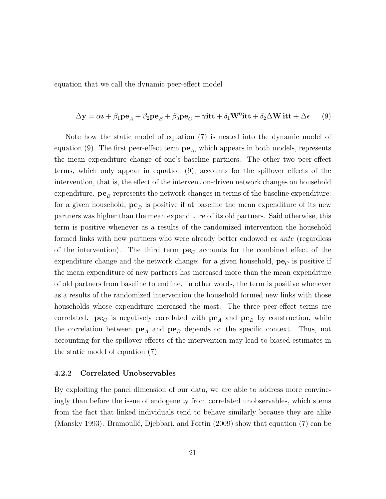equation that we call the dynamic peer-effect model

$$
\Delta \mathbf{y} = \alpha \mathbf{t} + \beta_1 \mathbf{p} \mathbf{e}_A + \beta_2 \mathbf{p} \mathbf{e}_B + \beta_3 \mathbf{p} \mathbf{e}_C + \gamma \mathbf{it} + \delta_1 \mathbf{W}^0 \mathbf{it} + \delta_2 \Delta \mathbf{W} \mathbf{it} + \Delta \epsilon \tag{9}
$$

Note how the static model of equation (7) is nested into the dynamic model of equation (9). The first peer-effect term  $pe_A$ , which appears in both models, represents the mean expenditure change of one's baseline partners. The other two peer-effect terms, which only appear in equation (9), accounts for the spillover effects of the intervention, that is, the effect of the intervention-driven network changes on household expenditure.  $pe_B$  represents the network changes in terms of the baseline expenditure: for a given household,  $pe_B$  is positive if at baseline the mean expenditure of its new partners was higher than the mean expenditure of its old partners. Said otherwise, this term is positive whenever as a results of the randomized intervention the household formed links with new partners who were already better endowed ex ante (regardless of the intervention). The third term  $pe<sub>C</sub>$  accounts for the combined effect of the expenditure change and the network change: for a given household,  $pe<sub>C</sub>$  is positive if the mean expenditure of new partners has increased more than the mean expenditure of old partners from baseline to endline. In other words, the term is positive whenever as a results of the randomized intervention the household formed new links with those households whose expenditure increased the most. The three peer-effect terms are correlated:  $pe_C$  is negatively correlated with  $pe_A$  and  $pe_B$  by construction, while the correlation between  $pe_A$  and  $pe_B$  depends on the specific context. Thus, not accounting for the spillover effects of the intervention may lead to biased estimates in the static model of equation (7).

#### 4.2.2 Correlated Unobservables

By exploiting the panel dimension of our data, we are able to address more convincingly than before the issue of endogeneity from correlated unobservables, which stems from the fact that linked individuals tend to behave similarly because they are alike (Mansky 1993). Bramoullé, Djebbari, and Fortin  $(2009)$  show that equation  $(7)$  can be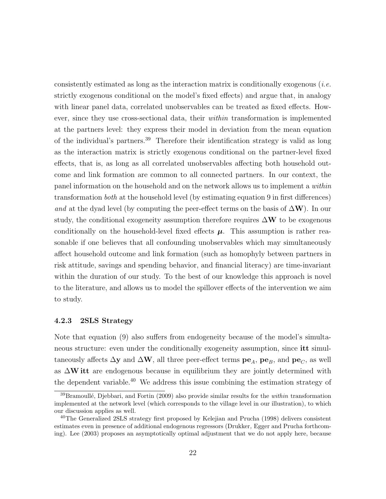consistently estimated as long as the interaction matrix is conditionally exogenous (*i.e.* strictly exogenous conditional on the model's fixed effects) and argue that, in analogy with linear panel data, correlated unobservables can be treated as fixed effects. However, since they use cross-sectional data, their within transformation is implemented at the partners level: they express their model in deviation from the mean equation of the individual's partners.<sup>39</sup> Therefore their identification strategy is valid as long as the interaction matrix is strictly exogenous conditional on the partner-level fixed effects, that is, as long as all correlated unobservables affecting both household outcome and link formation are common to all connected partners. In our context, the panel information on the household and on the network allows us to implement a within transformation both at the household level (by estimating equation 9 in first differences) and at the dyad level (by computing the peer-effect terms on the basis of  $\Delta W$ ). In our study, the conditional exogeneity assumption therefore requires  $\Delta W$  to be exogenous conditionally on the household-level fixed effects  $\mu$ . This assumption is rather reasonable if one believes that all confounding unobservables which may simultaneously affect household outcome and link formation (such as homophyly between partners in risk attitude, savings and spending behavior, and financial literacy) are time-invariant within the duration of our study. To the best of our knowledge this approach is novel to the literature, and allows us to model the spillover effects of the intervention we aim to study.

#### 4.2.3 2SLS Strategy

Note that equation (9) also suffers from endogeneity because of the model's simultaneous structure: even under the conditionally exogeneity assumption, since itt simultaneously affects  $\Delta$ y and  $\Delta$ W, all three peer-effect terms  $pe_A$ ,  $pe_B$ , and  $pe_C$ , as well as  $\Delta W$  itt are endogenous because in equilibrium they are jointly determined with the dependent variable.<sup>40</sup> We address this issue combining the estimation strategy of

<sup>&</sup>lt;sup>39</sup>Bramoullé, Djebbari, and Fortin (2009) also provide similar results for the *within* transformation implemented at the network level (which corresponds to the village level in our illustration), to which our discussion applies as well.

<sup>&</sup>lt;sup>40</sup>The Generalized 2SLS strategy first proposed by Kelejian and Prucha (1998) delivers consistent estimates even in presence of additional endogenous regressors (Drukker, Egger and Prucha forthcoming). Lee (2003) proposes an asymptotically optimal adjustment that we do not apply here, because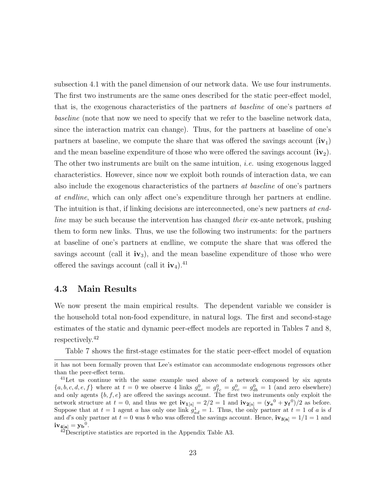subsection 4.1 with the panel dimension of our network data. We use four instruments. The first two instruments are the same ones described for the static peer-effect model, that is, the exogenous characteristics of the partners at baseline of one's partners at baseline (note that now we need to specify that we refer to the baseline network data, since the interaction matrix can change). Thus, for the partners at baseline of one's partners at baseline, we compute the share that was offered the savings account  $(iv_1)$ and the mean baseline expenditure of those who were offered the savings account  $(iv_2)$ . The other two instruments are built on the same intuition, *i.e.* using exogenous lagged characteristics. However, since now we exploit both rounds of interaction data, we can also include the exogenous characteristics of the partners at baseline of one's partners at endline, which can only affect one's expenditure through her partners at endline. The intuition is that, if linking decisions are interconnected, one's new partners at endline may be such because the intervention has changed their ex-ante network, pushing them to form new links. Thus, we use the following two instruments: for the partners at baseline of one's partners at endline, we compute the share that was offered the savings account (call it  $iv_3$ ), and the mean baseline expenditure of those who were offered the savings account (call it  $iv_4$ ).<sup>41</sup>

### 4.3 Main Results

We now present the main empirical results. The dependent variable we consider is the household total non-food expenditure, in natural logs. The first and second-stage estimates of the static and dynamic peer-effect models are reported in Tables 7 and 8, respectively.<sup>42</sup>

Table 7 shows the first-stage estimates for the static peer-effect model of equation

it has not been formally proven that Lee's estimator can accommodate endogenous regressors other than the peer-effect term.

<sup>&</sup>lt;sup>41</sup>Let us continue with the same example used above of a network composed by six agents  ${a, b, c, d, e, f}$  where at  $t = 0$  we observe 4 links  $g_{ac}^0 = g_{fc}^0 = g_{eb}^0 = 1$  (and zero elsewhere) and only agents  $\{b, f, e\}$  are offered the savings account. The first two instruments only exploit the network structure at  $t = 0$ , and thus we get  $iv_{1[a]} = 2/2 = 1$  and  $iv_{2[a]} = (y_e^0 + y_f^0)/2$  as before. Suppose that at  $t = 1$  agent a has only one link  $g_{ad}^1 = 1$ . Thus, the only partner at  $t = 1$  of a is d and d's only partner at  $t = 0$  was b who was offered the savings account. Hence,  $\mathbf{iv}_{3}[\mathbf{a}] = 1/1 = 1$  and  $iv_{4[a]} = y_{b}^{0}.$ 

 $4^{2}$ Descriptive statistics are reported in the Appendix Table A3.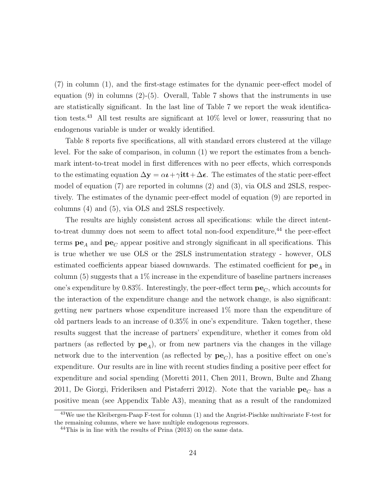(7) in column (1), and the first-stage estimates for the dynamic peer-effect model of equation  $(9)$  in columns  $(2)-(5)$ . Overall, Table 7 shows that the instruments in use are statistically significant. In the last line of Table 7 we report the weak identification tests.<sup>43</sup> All test results are significant at  $10\%$  level or lower, reassuring that no endogenous variable is under or weakly identified.

Table 8 reports five specifications, all with standard errors clustered at the village level. For the sake of comparison, in column (1) we report the estimates from a benchmark intent-to-treat model in first differences with no peer effects, which corresponds to the estimating equation  $\Delta y = \alpha t + \gamma i t + \Delta \epsilon$ . The estimates of the static peer-effect model of equation (7) are reported in columns (2) and (3), via OLS and 2SLS, respectively. The estimates of the dynamic peer-effect model of equation (9) are reported in columns (4) and (5), via OLS and 2SLS respectively.

The results are highly consistent across all specifications: while the direct intentto-treat dummy does not seem to affect total non-food expenditure,  $44$  the peer-effect terms  $pe_A$  and  $pe_C$  appear positive and strongly significant in all specifications. This is true whether we use OLS or the 2SLS instrumentation strategy - however, OLS estimated coefficients appear biased downwards. The estimated coefficient for  $pe<sub>A</sub>$  in column  $(5)$  suggests that a  $1\%$  increase in the expenditure of baseline partners increases one's expenditure by 0.83%. Interestingly, the peer-effect term  $\mathbf{pe}_C$ , which accounts for the interaction of the expenditure change and the network change, is also significant: getting new partners whose expenditure increased 1% more than the expenditure of old partners leads to an increase of 0.35% in one's expenditure. Taken together, these results suggest that the increase of partners' expenditure, whether it comes from old partners (as reflected by  $pe_A$ ), or from new partners via the changes in the village network due to the intervention (as reflected by  $pe<sub>C</sub>$ ), has a positive effect on one's expenditure. Our results are in line with recent studies finding a positive peer effect for expenditure and social spending (Moretti 2011, Chen 2011, Brown, Bulte and Zhang 2011, De Giorgi, Frideriksen and Pistaferri 2012). Note that the variable  $\mathbf{pe}_C$  has a positive mean (see Appendix Table A3), meaning that as a result of the randomized

<sup>&</sup>lt;sup>43</sup>We use the Kleibergen-Paap F-test for column (1) and the Angrist-Pischke multivariate F-test for the remaining columns, where we have multiple endogenous regressors.

 $^{44}$ This is in line with the results of Prina (2013) on the same data.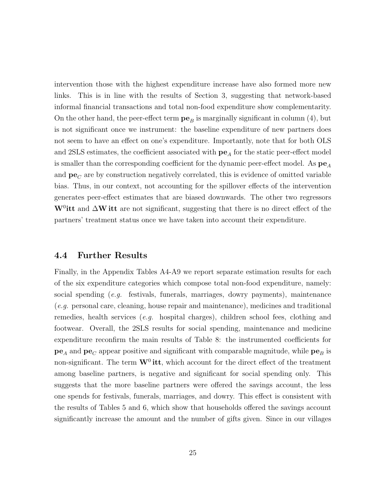intervention those with the highest expenditure increase have also formed more new links. This is in line with the results of Section 3, suggesting that network-based informal financial transactions and total non-food expenditure show complementarity. On the other hand, the peer-effect term  $pe_B$  is marginally significant in column (4), but is not significant once we instrument: the baseline expenditure of new partners does not seem to have an effect on one's expenditure. Importantly, note that for both OLS and 2SLS estimates, the coefficient associated with  $pe<sub>A</sub>$  for the static peer-effect model is smaller than the corresponding coefficient for the dynamic peer-effect model. As  $pe_A$ and  $pe_C$  are by construction negatively correlated, this is evidence of omitted variable bias. Thus, in our context, not accounting for the spillover effects of the intervention generates peer-effect estimates that are biased downwards. The other two regressors W<sup>0</sup>itt and  $\Delta W$  itt are not significant, suggesting that there is no direct effect of the partners' treatment status once we have taken into account their expenditure.

### 4.4 Further Results

Finally, in the Appendix Tables A4-A9 we report separate estimation results for each of the six expenditure categories which compose total non-food expenditure, namely: social spending  $(e,q.$  festivals, funerals, marriages, dowry payments), maintenance (e.g. personal care, cleaning, house repair and maintenance), medicines and traditional remedies, health services (e.g. hospital charges), children school fees, clothing and footwear. Overall, the 2SLS results for social spending, maintenance and medicine expenditure reconfirm the main results of Table 8: the instrumented coefficients for  $pe_A$  and  $pe_C$  appear positive and significant with comparable magnitude, while  $pe_B$  is non-significant. The term  $W^0$  itt, which account for the direct effect of the treatment among baseline partners, is negative and significant for social spending only. This suggests that the more baseline partners were offered the savings account, the less one spends for festivals, funerals, marriages, and dowry. This effect is consistent with the results of Tables 5 and 6, which show that households offered the savings account significantly increase the amount and the number of gifts given. Since in our villages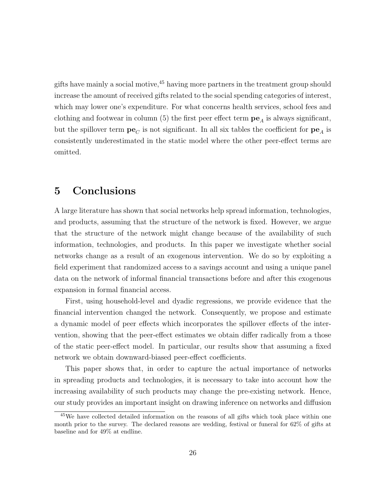gifts have mainly a social motive,  $45$  having more partners in the treatment group should increase the amount of received gifts related to the social spending categories of interest, which may lower one's expenditure. For what concerns health services, school fees and clothing and footwear in column (5) the first peer effect term  $pe_A$  is always significant, but the spillover term  $pe<sub>C</sub>$  is not significant. In all six tables the coefficient for  $pe<sub>A</sub>$  is consistently underestimated in the static model where the other peer-effect terms are omitted.

# 5 Conclusions

A large literature has shown that social networks help spread information, technologies, and products, assuming that the structure of the network is fixed. However, we argue that the structure of the network might change because of the availability of such information, technologies, and products. In this paper we investigate whether social networks change as a result of an exogenous intervention. We do so by exploiting a field experiment that randomized access to a savings account and using a unique panel data on the network of informal financial transactions before and after this exogenous expansion in formal financial access.

First, using household-level and dyadic regressions, we provide evidence that the financial intervention changed the network. Consequently, we propose and estimate a dynamic model of peer effects which incorporates the spillover effects of the intervention, showing that the peer-effect estimates we obtain differ radically from a those of the static peer-effect model. In particular, our results show that assuming a fixed network we obtain downward-biased peer-effect coefficients.

This paper shows that, in order to capture the actual importance of networks in spreading products and technologies, it is necessary to take into account how the increasing availability of such products may change the pre-existing network. Hence, our study provides an important insight on drawing inference on networks and diffusion

<sup>&</sup>lt;sup>45</sup>We have collected detailed information on the reasons of all gifts which took place within one month prior to the survey. The declared reasons are wedding, festival or funeral for 62% of gifts at baseline and for 49% at endline.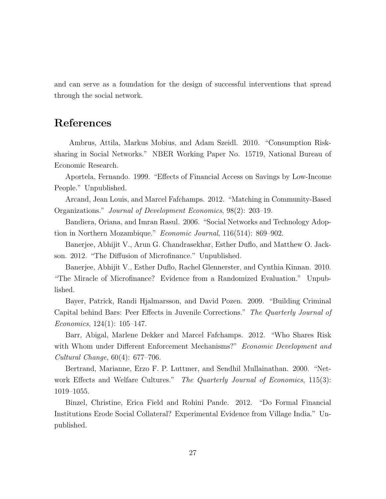and can serve as a foundation for the design of successful interventions that spread through the social network.

# References

Ambrus, Attila, Markus Mobius, and Adam Szeidl. 2010. "Consumption Risksharing in Social Networks." NBER Working Paper No. 15719, National Bureau of Economic Research.

Aportela, Fernando. 1999. "Effects of Financial Access on Savings by Low-Income People." Unpublished.

Arcand, Jean Louis, and Marcel Fafchamps. 2012. "Matching in Community-Based Organizations." Journal of Development Economics, 98(2): 203–19.

Bandiera, Oriana, and Imran Rasul. 2006. "Social Networks and Technology Adoption in Northern Mozambique." Economic Journal, 116(514): 869–902.

Banerjee, Abhijit V., Arun G. Chandrasekhar, Esther Duflo, and Matthew O. Jackson. 2012. "The Diffusion of Microfinance." Unpublished.

Banerjee, Abhijit V., Esther Duflo, Rachel Glennerster, and Cynthia Kinnan. 2010. "The Miracle of Microfinance? Evidence from a Randomized Evaluation." Unpublished.

Bayer, Patrick, Randi Hjalmarsson, and David Pozen. 2009. "Building Criminal Capital behind Bars: Peer Effects in Juvenile Corrections." The Quarterly Journal of Economics, 124(1): 105–147.

Barr, Abigal, Marlene Dekker and Marcel Fafchamps. 2012. "Who Shares Risk with Whom under Different Enforcement Mechanisms?" Economic Development and Cultural Change, 60(4): 677–706.

Bertrand, Marianne, Erzo F. P. Luttmer, and Sendhil Mullainathan. 2000. "Network Effects and Welfare Cultures." The Quarterly Journal of Economics, 115(3): 1019–1055.

Binzel, Christine, Erica Field and Rohini Pande. 2012. "Do Formal Financial Institutions Erode Social Collateral? Experimental Evidence from Village India." Unpublished.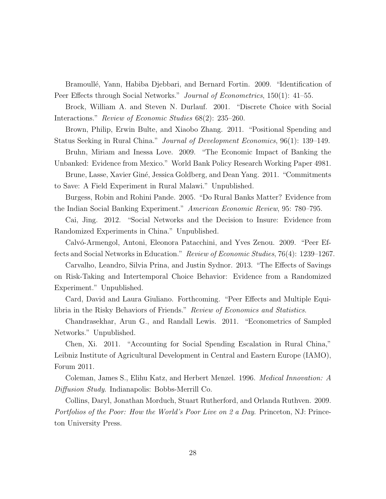Bramoullé, Yann, Habiba Djebbari, and Bernard Fortin. 2009. "Identification of Peer Effects through Social Networks." Journal of Econometrics, 150(1): 41–55.

Brock, William A. and Steven N. Durlauf. 2001. "Discrete Choice with Social Interactions." Review of Economic Studies 68(2): 235–260.

Brown, Philip, Erwin Bulte, and Xiaobo Zhang. 2011. "Positional Spending and Status Seeking in Rural China." Journal of Development Economics, 96(1): 139–149.

Bruhn, Miriam and Inessa Love. 2009. "The Economic Impact of Banking the

Unbanked: Evidence from Mexico." World Bank Policy Research Working Paper 4981. Brune, Lasse, Xavier Giné, Jessica Goldberg, and Dean Yang. 2011. "Commitments to Save: A Field Experiment in Rural Malawi." Unpublished.

Burgess, Robin and Rohini Pande. 2005. "Do Rural Banks Matter? Evidence from the Indian Social Banking Experiment." American Economic Review, 95: 780–795.

Cai, Jing. 2012. "Social Networks and the Decision to Insure: Evidence from

Randomized Experiments in China." Unpublished.

Calvó-Armengol, Antoni, Eleonora Patacchini, and Yves Zenou. 2009. "Peer Effects and Social Networks in Education." Review of Economic Studies, 76(4): 1239–1267.

Carvalho, Leandro, Silvia Prina, and Justin Sydnor. 2013. "The Effects of Savings on Risk-Taking and Intertemporal Choice Behavior: Evidence from a Randomized Experiment." Unpublished.

Card, David and Laura Giuliano. Forthcoming. "Peer Effects and Multiple Equilibria in the Risky Behaviors of Friends." Review of Economics and Statistics.

Chandrasekhar, Arun G., and Randall Lewis. 2011. "Econometrics of Sampled Networks." Unpublished.

Chen, Xi. 2011. "Accounting for Social Spending Escalation in Rural China," Leibniz Institute of Agricultural Development in Central and Eastern Europe (IAMO), Forum 2011.

Coleman, James S., Elihu Katz, and Herbert Menzel. 1996. Medical Innovation: A Diffusion Study. Indianapolis: Bobbs-Merrill Co.

Collins, Daryl, Jonathan Morduch, Stuart Rutherford, and Orlanda Ruthven. 2009. Portfolios of the Poor: How the World's Poor Live on 2 a Day. Princeton, NJ: Princeton University Press.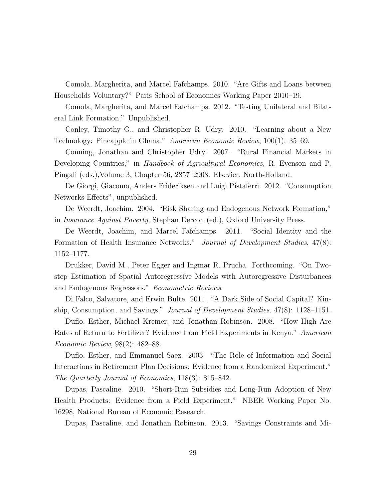Comola, Margherita, and Marcel Fafchamps. 2010. "Are Gifts and Loans between Households Voluntary?" Paris School of Economics Working Paper 2010–19.

Comola, Margherita, and Marcel Fafchamps. 2012. "Testing Unilateral and Bilateral Link Formation." Unpublished.

Conley, Timothy G., and Christopher R. Udry. 2010. "Learning about a New Technology: Pineapple in Ghana." American Economic Review, 100(1): 35–69.

Conning, Jonathan and Christopher Udry. 2007. "Rural Financial Markets in Developing Countries," in Handbook of Agricultural Economics, R. Evenson and P. Pingali (eds.),Volume 3, Chapter 56, 2857–2908. Elsevier, North-Holland.

De Giorgi, Giacomo, Anders Frideriksen and Luigi Pistaferri. 2012. "Consumption Networks Effects", unpublished.

De Weerdt, Joachim. 2004. "Risk Sharing and Endogenous Network Formation," in Insurance Against Poverty, Stephan Dercon (ed.), Oxford University Press.

De Weerdt, Joachim, and Marcel Fafchamps. 2011. "Social Identity and the Formation of Health Insurance Networks." Journal of Development Studies, 47(8): 1152–1177.

Drukker, David M., Peter Egger and Ingmar R. Prucha. Forthcoming. "On Twostep Estimation of Spatial Autoregressive Models with Autoregressive Disturbances and Endogenous Regressors." Econometric Reviews.

Di Falco, Salvatore, and Erwin Bulte. 2011. "A Dark Side of Social Capital? Kinship, Consumption, and Savings." Journal of Development Studies, 47(8): 1128–1151.

Duflo, Esther, Michael Kremer, and Jonathan Robinson. 2008. "How High Are Rates of Return to Fertilizer? Evidence from Field Experiments in Kenya." American Economic Review, 98(2): 482–88.

Duflo, Esther, and Emmanuel Saez. 2003. "The Role of Information and Social Interactions in Retirement Plan Decisions: Evidence from a Randomized Experiment." The Quarterly Journal of Economics, 118(3): 815–842.

Dupas, Pascaline. 2010. "Short-Run Subsidies and Long-Run Adoption of New Health Products: Evidence from a Field Experiment." NBER Working Paper No. 16298, National Bureau of Economic Research.

Dupas, Pascaline, and Jonathan Robinson. 2013. "Savings Constraints and Mi-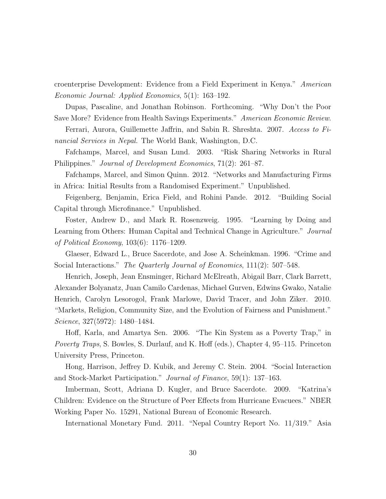croenterprise Development: Evidence from a Field Experiment in Kenya." American Economic Journal: Applied Economics, 5(1): 163–192.

Dupas, Pascaline, and Jonathan Robinson. Forthcoming. "Why Don't the Poor Save More? Evidence from Health Savings Experiments." American Economic Review.

Ferrari, Aurora, Guillemette Jaffrin, and Sabin R. Shreshta. 2007. Access to Financial Services in Nepal. The World Bank, Washington, D.C.

Fafchamps, Marcel, and Susan Lund. 2003. "Risk Sharing Networks in Rural Philippines." Journal of Development Economics, 71(2): 261–87.

Fafchamps, Marcel, and Simon Quinn. 2012. "Networks and Manufacturing Firms in Africa: Initial Results from a Randomised Experiment." Unpublished.

Feigenberg, Benjamin, Erica Field, and Rohini Pande. 2012. "Building Social Capital through Microfinance." Unpublished.

Foster, Andrew D., and Mark R. Rosenzweig. 1995. "Learning by Doing and Learning from Others: Human Capital and Technical Change in Agriculture." Journal of Political Economy, 103(6): 1176–1209.

Glaeser, Edward L., Bruce Sacerdote, and Jose A. Scheinkman. 1996. "Crime and Social Interactions." The Quarterly Journal of Economics, 111(2): 507–548.

Henrich, Joseph, Jean Ensminger, Richard McElreath, Abigail Barr, Clark Barrett, Alexander Bolyanatz, Juan Camilo Cardenas, Michael Gurven, Edwins Gwako, Natalie Henrich, Carolyn Lesorogol, Frank Marlowe, David Tracer, and John Ziker. 2010. "Markets, Religion, Community Size, and the Evolution of Fairness and Punishment." Science, 327(5972): 1480–1484.

Hoff, Karla, and Amartya Sen. 2006. "The Kin System as a Poverty Trap," in Poverty Traps, S. Bowles, S. Durlauf, and K. Hoff (eds.), Chapter 4, 95–115. Princeton University Press, Princeton.

Hong, Harrison, Jeffrey D. Kubik, and Jeremy C. Stein. 2004. "Social Interaction and Stock-Market Participation." Journal of Finance, 59(1): 137–163.

Imberman, Scott, Adriana D. Kugler, and Bruce Sacerdote. 2009. "Katrina's Children: Evidence on the Structure of Peer Effects from Hurricane Evacuees." NBER Working Paper No. 15291, National Bureau of Economic Research.

International Monetary Fund. 2011. "Nepal Country Report No. 11/319." Asia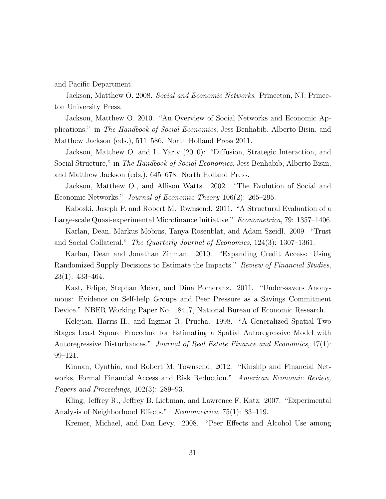and Pacific Department.

Jackson, Matthew O. 2008. *Social and Economic Networks*. Princeton, NJ: Princeton University Press.

Jackson, Matthew O. 2010. "An Overview of Social Networks and Economic Applications." in The Handbook of Social Economics, Jess Benhabib, Alberto Bisin, and Matthew Jackson (eds.), 511–586. North Holland Press 2011.

Jackson, Matthew O. and L. Yariv (2010): "Diffusion, Strategic Interaction, and Social Structure," in *The Handbook of Social Economics*, Jess Benhabib, Alberto Bisin, and Matthew Jackson (eds.), 645–678. North Holland Press.

Jackson, Matthew O., and Allison Watts. 2002. "The Evolution of Social and Economic Networks." Journal of Economic Theory 106(2): 265–295.

Kaboski, Joseph P. and Robert M. Townsend. 2011. "A Structural Evaluation of a Large-scale Quasi-experimental Microfinance Initiative." Econometrica, 79: 1357–1406.

Karlan, Dean, Markus Mobius, Tanya Rosenblat, and Adam Szeidl. 2009. "Trust and Social Collateral." The Quarterly Journal of Economics, 124(3): 1307–1361.

Karlan, Dean and Jonathan Zinman. 2010. "Expanding Credit Access: Using Randomized Supply Decisions to Estimate the Impacts." Review of Financial Studies,  $23(1): 433 - 464.$ 

Kast, Felipe, Stephan Meier, and Dina Pomeranz. 2011. "Under-savers Anonymous: Evidence on Self-help Groups and Peer Pressure as a Savings Commitment Device." NBER Working Paper No. 18417, National Bureau of Economic Research.

Kelejian, Harris H., and Ingmar R. Prucha. 1998. "A Generalized Spatial Two Stages Least Square Procedure for Estimating a Spatial Autoregressive Model with Autoregressive Disturbances." Journal of Real Estate Finance and Economics, 17(1): 99–121.

Kinnan, Cynthia, and Robert M. Townsend, 2012. "Kinship and Financial Networks, Formal Financial Access and Risk Reduction." American Economic Review, Papers and Proceedings, 102(3): 289–93.

Kling, Jeffrey R., Jeffrey B. Liebman, and Lawrence F. Katz. 2007. "Experimental Analysis of Neighborhood Effects." Econometrica, 75(1): 83-119.

Kremer, Michael, and Dan Levy. 2008. "Peer Effects and Alcohol Use among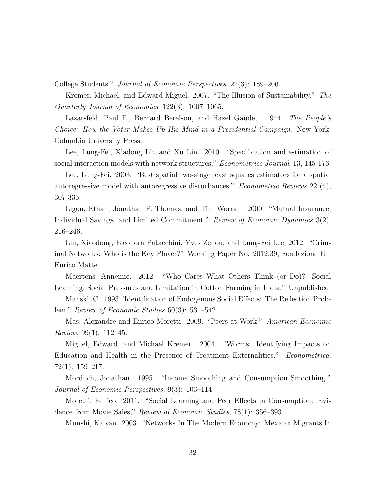College Students." Journal of Economic Perspectives, 22(3): 189–206.

Kremer, Michael, and Edward Miguel. 2007. "The Illusion of Sustainability." The Quarterly Journal of Economics, 122(3): 1007–1065.

Lazarsfeld, Paul F., Bernard Berelson, and Hazel Gaudet. 1944. The People's Choice: How the Voter Makes Up His Mind in a Presidential Campaign. New York: Columbia University Press.

Lee, Lung-Fei, Xiadong Liu and Xu Lin. 2010. "Specification and estimation of social interaction models with network structures," Econometrics Journal, 13, 145-176.

Lee, Lung-Fei. 2003. "Best spatial two-stage least squares estimators for a spatial autoregressive model with autoregressive disturbances." Econometric Reviews 22 (4), 307-335.

Ligon, Ethan, Jonathan P. Thomas, and Tim Worrall. 2000. "Mutual Insurance, Individual Savings, and Limited Commitment." Review of Economic Dynamics 3(2): 216–246.

Liu, Xiaodong, Eleonora Patacchini, Yves Zenou, and Lung-Fei Lee, 2012. "Criminal Networks: Who is the Key Player?" Working Paper No. 2012.39, Fondazione Eni Enrico Mattei.

Maertens, Annemie. 2012. "Who Cares What Others Think (or Do)? Social Learning, Social Pressures and Limitation in Cotton Farming in India." Unpublished.

Manski, C., 1993 "Identification of Endogenous Social Effects: The Reflection Problem," Review of Economic Studies 60(3): 531–542.

Mas, Alexandre and Enrico Moretti. 2009. "Peers at Work." American Economic Review, 99(1): 112–45.

Miguel, Edward, and Michael Kremer. 2004. "Worms: Identifying Impacts on Education and Health in the Presence of Treatment Externalities." Econometrica, 72(1): 159–217.

Morduch, Jonathan. 1995. "Income Smoothing and Consumption Smoothing." Journal of Economic Perspectives, 9(3): 103–114.

Moretti, Enrico. 2011. "Social Learning and Peer Effects in Consumption: Evidence from Movie Sales," Review of Economic Studies, 78(1): 356–393.

Munshi, Kaivan. 2003. "Networks In The Modern Economy: Mexican Migrants In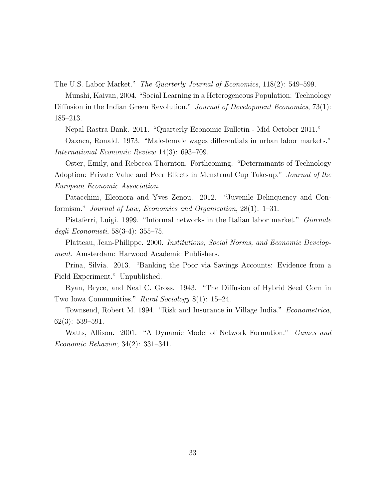The U.S. Labor Market." The Quarterly Journal of Economics, 118(2): 549–599.

Munshi, Kaivan, 2004, "Social Learning in a Heterogeneous Population: Technology Diffusion in the Indian Green Revolution." Journal of Development Economics, 73(1): 185–213.

Nepal Rastra Bank. 2011. "Quarterly Economic Bulletin - Mid October 2011."

Oaxaca, Ronald. 1973. "Male-female wages differentials in urban labor markets." International Economic Review 14(3): 693–709.

Oster, Emily, and Rebecca Thornton. Forthcoming. "Determinants of Technology Adoption: Private Value and Peer Effects in Menstrual Cup Take-up." Journal of the European Economic Association.

Patacchini, Eleonora and Yves Zenou. 2012. "Juvenile Delinquency and Conformism." Journal of Law, Economics and Organization, 28(1): 1–31.

Pistaferri, Luigi. 1999. "Informal networks in the Italian labor market." *Giornale* degli Economisti, 58(3-4): 355–75.

Platteau, Jean-Philippe. 2000. Institutions, Social Norms, and Economic Development. Amsterdam: Harwood Academic Publishers.

Prina, Silvia. 2013. "Banking the Poor via Savings Accounts: Evidence from a Field Experiment." Unpublished.

Ryan, Bryce, and Neal C. Gross. 1943. "The Diffusion of Hybrid Seed Corn in Two Iowa Communities." Rural Sociology 8(1): 15–24.

Townsend, Robert M. 1994. "Risk and Insurance in Village India." Econometrica, 62(3): 539–591.

Watts, Allison. 2001. "A Dynamic Model of Network Formation." *Games and* Economic Behavior, 34(2): 331–341.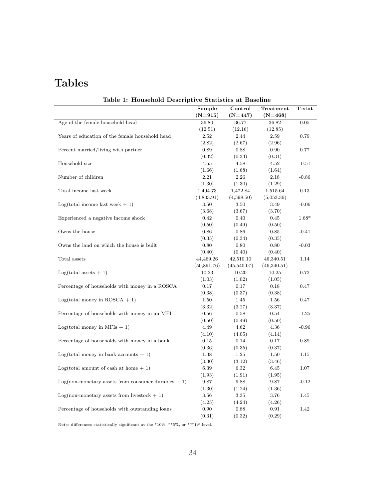# Tables

| Table 1: Household Descriptive Statistics at Baseline    | Sample         | Control        | Treatment      | T-stat  |
|----------------------------------------------------------|----------------|----------------|----------------|---------|
|                                                          | $(N=915)$      | $(N=447)$      | $(N=468)$      |         |
| Age of the female household head                         | 36.80          | 36.77          | 36.82          | 0.05    |
|                                                          | (12.51)        | (12.16)        | (12.85)        |         |
| Years of education of the female household head          | 2.52           | 2.44           | 2.59           | 0.79    |
|                                                          | (2.82)         | (2.67)         | (2.96)         |         |
| Percent married/living with partner                      | 0.89           | 0.88           | 0.90           | 0.77    |
|                                                          | (0.32)         | (0.33)         | (0.31)         |         |
| Household size                                           | 4.55           | 4.58           | 4.52           | $-0.51$ |
|                                                          | (1.66)         | (1.68)         | (1.64)         |         |
| Number of children                                       | 2.21           | 2.26           | 2.18           | $-0.86$ |
|                                                          | (1.30)         | (1.30)         | (1.29)         |         |
| Total income last week                                   | 1,494.73       | 1,472.84       | 1,515.64       | 0.13    |
|                                                          | (4,833.91)     | (4,598.50)     | (5,053.36)     |         |
| $Log(total income last week + 1)$                        | 3.50           | 3.50           | 3.49           | $-0.06$ |
|                                                          | (3.68)         | (3.67)         | (3.70)         |         |
| Experienced a negative income shock                      | 0.42           | 0.40           | 0.45           | $1.68*$ |
|                                                          |                |                |                |         |
| Owns the house                                           | (0.50)<br>0.86 | (0.49)<br>0.86 | (0.50)<br>0.85 | $-0.41$ |
|                                                          |                |                |                |         |
| Owns the land on which the house is built                | (0.35)         | (0.34)<br>0.80 | (0.35)         | $-0.03$ |
|                                                          | 0.80           |                | 0.80           |         |
|                                                          | (0.40)         | (0.40)         | (0.40)         |         |
| Total assets                                             | 44,469.26      | 42,510.10      | 46,340.51      | 1.14    |
|                                                          | (50,891.76)    | (45,540.07)    | (46,340.51)    |         |
| $Log(total assets + 1)$                                  | 10.23          | 10.20          | 10.25          | 0.72    |
|                                                          | (1.03)         | (1.02)         | (1.05)         |         |
| Percentage of households with money in a ROSCA           | 0.17           | 0.17           | 0.18           | 0.47    |
|                                                          | (0.38)         | (0.37)         | (0.38)         |         |
| $Log(total money in ROSCA + 1)$                          | 1.50           | 1.45           | 1.56           | 0.47    |
|                                                          | (3.32)         | (3.27)         | (3.37)         |         |
| Percentage of households with money in an MFI            | 0.56           | 0.58           | 0.54           | $-1.25$ |
|                                                          | (0.50)         | (0.49)         | (0.50)         |         |
| $Log(total money in MFIs + 1)$                           | 4.49           | 4.62           | 4.36           | $-0.96$ |
|                                                          | (4.10)         | (4.05)         | (4.14)         |         |
| Percentage of households with money in a bank            | 0.15           | 0.14           | 0.17           | 0.89    |
|                                                          | (0.36)         | (0.35)         | (0.37)         |         |
| $Log(total money in bank accounts + 1)$                  | 1.38           | 1.25           | 1.50           | 1.15    |
|                                                          | (3.30)         | (3.12)         | (3.46)         |         |
| $Log(total amount of cash at home + 1)$                  | 6.39           | 6.32           | 6.45           | 1.07    |
|                                                          | (1.93)         | (1.91)         | (1.95)         |         |
| $Log($ non-monetary assets from consumer durables $+1$ ) | 9.87           | 9.88           | 9.87           | $-0.12$ |
|                                                          | (1.30)         | (1.24)         | (1.36)         |         |
| $Log($ non-monetary assets from livestock $+1$ )         | 3.56           | 3.35           | 3.76           | 1.45    |
|                                                          | (4.25)         | (4.24)         | (4.26)         |         |
| Percentage of households with outstanding loans          | 0.90           | 0.88           | 0.91           | 1.42    |
|                                                          | (0.31)         | (0.32)         | (0.29)         |         |

Table <sup>1</sup> Household Descriptive Statistics at Baseline

Note: differences statistically significant at the \*10%, \*\*5%, or \*\*\*1% level.

Ξ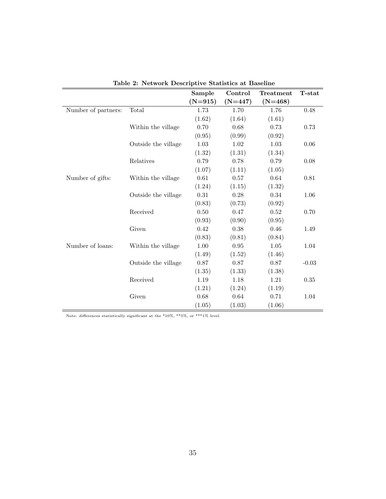|                     |                     | Sample    | Control    | Treatment  | <b>T</b> -stat |
|---------------------|---------------------|-----------|------------|------------|----------------|
|                     |                     | $(N=915)$ | $(N=447)$  | $(N=468)$  |                |
| Number of partners: | Total               | $1.73\,$  | 1.70       | 1.76       | 0.48           |
|                     |                     | (1.62)    | (1.64)     | (1.61)     |                |
|                     | Within the village  | 0.70      | 0.68       | 0.73       | 0.73           |
|                     |                     | (0.95)    | (0.99)     | (0.92)     |                |
|                     | Outside the village | 1.03      | 1.02       | 1.03       | 0.06           |
|                     |                     | (1.32)    | (1.31)     | (1.34)     |                |
|                     | Relatives           | 0.79      | 0.78       | 0.79       | 0.08           |
|                     |                     | (1.07)    | (1.11)     | (1.05)     |                |
| Number of gifts:    | Within the village  | 0.61      | 0.57       | 0.64       | 0.81           |
|                     |                     | (1.24)    | (1.15)     | (1.32)     |                |
|                     | Outside the village | 0.31      | 0.28       | $0.34\,$   | 1.06           |
|                     |                     | (0.83)    | (0.73)     | (0.92)     |                |
|                     | Received            | $0.50\,$  | 0.47       | $\,0.52\,$ | 0.70           |
|                     |                     | (0.93)    | (0.90)     | (0.95)     |                |
|                     | Given               | 0.42      | 0.38       | 0.46       | 1.49           |
|                     |                     | (0.83)    | (0.81)     | (0.84)     |                |
| Number of loans:    | Within the village  | 1.00      | $\rm 0.95$ | $1.05\,$   | 1.04           |
|                     |                     | (1.49)    | (1.52)     | (1.46)     |                |
|                     | Outside the village | 0.87      | 0.87       | 0.87       | $-0.03$        |
|                     |                     | (1.35)    | (1.33)     | (1.38)     |                |
|                     | Received            | 1.19      | 1.18       | 1.21       | 0.35           |
|                     |                     | (1.21)    | (1.24)     | (1.19)     |                |
|                     | Given               | 0.68      | 0.64       | 0.71       | 1.04           |
|                     |                     | (1.05)    | (1.03)     | (1.06)     |                |

Table 2: Network Descriptive Statistics at Baseline

Note: differences statistically significant at the \*10%, \*\*5%, or \*\*\*1% level.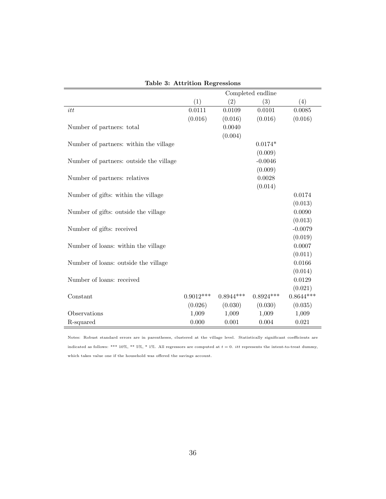|                                         |             |             | Completed endline |             |
|-----------------------------------------|-------------|-------------|-------------------|-------------|
|                                         | (1)         | (2)         | (3)               | (4)         |
| itt                                     | 0.0111      | 0.0109      | 0.0101            | 0.0085      |
|                                         | (0.016)     | (0.016)     | (0.016)           | (0.016)     |
| Number of partners: total               |             | 0.0040      |                   |             |
|                                         |             | (0.004)     |                   |             |
| Number of partners: within the village  |             |             | $0.0174*$         |             |
|                                         |             |             | (0.009)           |             |
| Number of partners: outside the village |             |             | $-0.0046$         |             |
|                                         |             |             | (0.009)           |             |
| Number of partners: relatives           |             |             | 0.0028            |             |
|                                         |             |             | (0.014)           |             |
| Number of gifts: within the village     |             |             |                   | 0.0174      |
|                                         |             |             |                   | (0.013)     |
| Number of gifts: outside the village    |             |             |                   | 0.0090      |
|                                         |             |             |                   | (0.013)     |
| Number of gifts: received               |             |             |                   | $-0.0079$   |
|                                         |             |             |                   | (0.019)     |
| Number of loans: within the village     |             |             |                   | 0.0007      |
|                                         |             |             |                   | (0.011)     |
| Number of loans: outside the village    |             |             |                   | 0.0166      |
|                                         |             |             |                   | (0.014)     |
| Number of loans: received               |             |             |                   | 0.0129      |
|                                         |             |             |                   | (0.021)     |
| Constant                                | $0.9012***$ | $0.8944***$ | $0.8924***$       | $0.8644***$ |
|                                         | (0.026)     | (0.030)     | (0.030)           | (0.035)     |
| Observations                            | 1,009       | 1,009       | 1,009             | 1,009       |
| R-squared                               | 0.000       | 0.001       | 0.004             | 0.021       |

Table 3: Attrition Regressions

Notes: Robust standard errors are in parentheses, clustered at the village level. Statistically significant coefficients are indicated as follows: \*\*\* 10%, \*\* 5%, \* 1%. All regressors are computed at  $t = 0$ . *itt* represents the intent-to-treat dummy, which takes value one if the household was offered the savings account.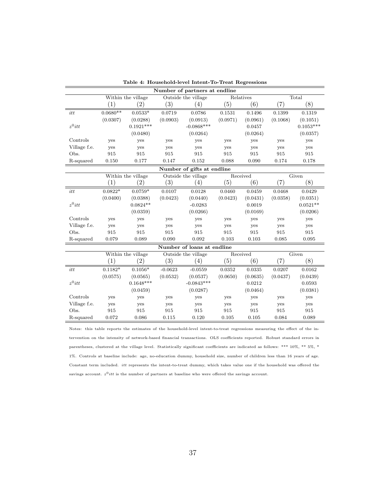| Number of partners at endline |                  |                    |                   |                            |          |           |                   |             |  |  |
|-------------------------------|------------------|--------------------|-------------------|----------------------------|----------|-----------|-------------------|-------------|--|--|
|                               |                  | Within the village |                   | Outside the village        |          | Relatives |                   | Total       |  |  |
|                               | $\left(1\right)$ | (2)                | $\left( 3\right)$ | (4)                        | (5)      | (6)       | (7)               | (8)         |  |  |
| itt                           | $0.0680**$       | $0.0533*$          | 0.0719            | 0.0786                     | 0.1531   | 0.1496    | 0.1399            | 0.1319      |  |  |
|                               | (0.0307)         | (0.0288)           | (0.0903)          | (0.0913)                   | (0.0971) | (0.0961)  | (0.1068)          | (0.1051)    |  |  |
| $z^0$ itt                     |                  | $0.1921***$        |                   | $-0.0868***$               |          | 0.0457    |                   | $0.1053***$ |  |  |
|                               |                  | (0.0480)           |                   | (0.0264)                   |          | (0.0264)  |                   | (0.0357)    |  |  |
| Controls                      | yes              | yes                | yes               | yes                        | yes      | yes       | yes               | yes         |  |  |
| Village f.e.                  | yes              | yes                | yes               | yes                        | yes      | yes       | yes               | yes         |  |  |
| Obs.                          | 915              | 915                | 915               | 915                        | 915      | 915       | 915               | 915         |  |  |
| R-squared                     | 0.150            | 0.177              | 0.147             | 0.152                      | 0.088    | 0.090     | 0.174             | 0.178       |  |  |
|                               |                  |                    |                   | Number of gifts at endline |          |           |                   |             |  |  |
|                               |                  | Within the village |                   | Outside the village        |          | Received  |                   | Given       |  |  |
|                               | $\left(1\right)$ | $\left( 2\right)$  | $\left( 3\right)$ | $\left(4\right)$           | (5)      | (6)       | $\left( 7\right)$ | (8)         |  |  |
| itt                           | $0.0822*$        | $0.0759*$          | 0.0107            | 0.0128                     | 0.0460   | 0.0459    | 0.0468            | 0.0429      |  |  |
|                               | (0.0400)         | (0.0388)           | (0.0423)          | (0.0440)                   | (0.0423) | (0.0431)  | (0.0358)          | (0.0351)    |  |  |
| $z^0itt$                      |                  | $0.0824**$         |                   | $-0.0283$                  |          | 0.0019    |                   | $0.0521**$  |  |  |
|                               |                  | (0.0359)           |                   | (0.0266)                   |          | (0.0169)  |                   | (0.0206)    |  |  |
| Controls                      | yes              | yes                | yes               | yes                        | yes      | yes       | yes               | yes         |  |  |
| Village f.e.                  | yes              | yes                | yes               | yes                        | yes      | yes       | yes               | yes         |  |  |
| Obs.                          | 915              | 915                | 915               | 915                        | 915      | 915       | 915               | 915         |  |  |
| R-squared                     | 0.079            | 0.089              | 0.090             | 0.092                      | 0.103    | 0.103     | 0.085             | 0.095       |  |  |
|                               |                  |                    |                   | Number of loans at endline |          |           |                   |             |  |  |
|                               |                  | Within the village |                   | Outside the village        | Received |           |                   | Given       |  |  |
|                               | (1)              | (2)                | $\left( 3\right)$ | (4)                        | (5)      | (6)       | $\left( 7\right)$ | (8)         |  |  |
| itt                           | $0.1182*$        | $0.1056*$          | $-0.0623$         | $-0.0559$                  | 0.0352   | 0.0335    | 0.0207            | 0.0162      |  |  |
|                               | (0.0575)         | (0.0565)           | (0.0532)          | (0.0537)                   | (0.0650) | (0.0635)  | (0.0437)          | (0.0439)    |  |  |
| $z^0$ itt                     |                  | $0.1648***$        |                   | $-0.0843***$               |          | 0.0212    |                   | 0.0593      |  |  |
|                               |                  | (0.0459)           |                   | (0.0287)                   |          | (0.0464)  |                   | (0.0381)    |  |  |
| Controls                      | yes              | yes                | yes               | yes                        | yes      | yes       | yes               | yes         |  |  |
| Village f.e.                  | yes              | yes                | yes               | yes                        | yes      | yes       | yes               | yes         |  |  |
| Obs.                          | 915              | 915                | 915               | 915                        | 915      | 915       | 915               | 915         |  |  |
| R-squared                     | 0.072            | 0.086              | 0.115             | 0.120                      | 0.105    | 0.105     | 0.084             | 0.089       |  |  |

Table 4: Household-level Intent-To-Treat Regressions

Notes: this table reports the estimates of the household-level intent-to-treat regressions measuring the effect of the intervention on the intensity of network-based financial transactions. OLS coefficients reported. Robust standard errors in parentheses, clustered at the village level. Statistically significant coefficients are indicated as follows: \*\*\* 10%, \*\* 5%, \* 1%. Controls at baseline include: age, no-education dummy, household size, number of children less than 16 years of age. Constant term included. itt represents the intent-to-treat dummy, which takes value one if the household was offered the savings account.  $z^0$ itt is the number of partners at baseline who were offered the savings account.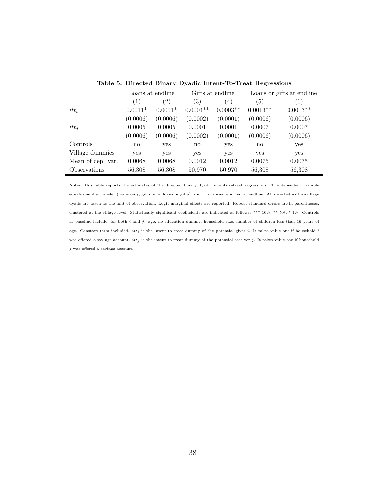|                   | Loans at endline |                   | Gifts at endline |            | Loans or gifts at endline |            |  |
|-------------------|------------------|-------------------|------------------|------------|---------------------------|------------|--|
|                   | $\left(1\right)$ | $\left( 2\right)$ | (3)              | (4)        | $\left(5\right)$          | (6)        |  |
| $itt_i$           | $0.0011*$        | $0.0011*$         | $0.0004**$       | $0.0003**$ | $0.0013**$                | $0.0013**$ |  |
|                   | (0.0006)         | (0.0006)          | (0.0002)         | (0.0001)   | (0.0006)                  | (0.0006)   |  |
| $it{t_i}$         | 0.0005           | 0.0005            | 0.0001           | 0.0001     | 0.0007                    | 0.0007     |  |
|                   | (0.0006)         | (0.0006)          | (0.0002)         | (0.0001)   | (0.0006)                  | (0.0006)   |  |
| Controls          | $\mathbf{no}$    | yes               | $\mathbf{no}$    | yes        | no                        | yes        |  |
| Village dummies   | yes              | yes               | yes              | yes        | yes                       | yes        |  |
| Mean of dep. var. | 0.0068           | 0.0068            | 0.0012           | 0.0012     | 0.0075                    | 0.0075     |  |
| Observations      | 56,308           | 56,308            | 50,970           | 50,970     | 56,308                    | 56,308     |  |

Table 5: Directed Binary Dyadic Intent-To-Treat Regressions

Notes: this table reports the estimates of the directed binary dyadic intent-to-treat regressions. The dependent variable equals one if a transfer (loans only, gifts only, loans or gifts) from  $i$  to  $j$  was reported at endline. All directed within-village dyads are taken as the unit of observation. Logit marginal effects are reported. Robust standard errors are in parentheses, clustered at the village level. Statistically significant coefficients are indicated as follows: \*\*\* 10%, \*\* 5%, \* 1%. Controls at baseline include, for both i and j: age, no-education dummy, household size, number of children less than 16 years of age. Constant term included.  $itt_i$  is the intent-to-treat dummy of the potential giver  $i$ . It takes value one if household  $i$ was offered a savings account.  $it_j$  is the intent-to-treat dummy of the potential receiver j. It takes value one if household  $j$  was offered a savings account.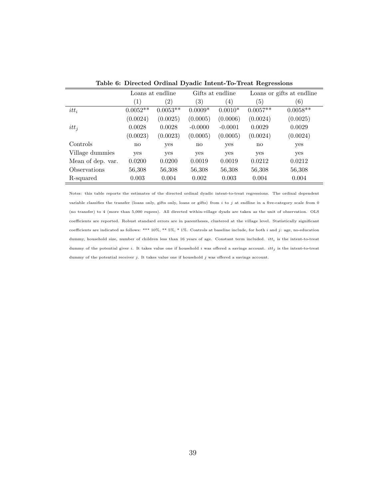|                   | Loans at endline       |                   |               | Gifts at endline | Loans or gifts at endline |            |  |
|-------------------|------------------------|-------------------|---------------|------------------|---------------------------|------------|--|
|                   | (1)                    | $\left( 2\right)$ | (3)           | (4)              | $\left(5\right)$          | (6)        |  |
| $itt_i$           | $0.0052**$             | $0.0053**$        | $0.0009*$     | $0.0010*$        | $0.0057**$                | $0.0058**$ |  |
|                   | (0.0024)               | (0.0025)          | (0.0005)      | (0.0006)         | (0.0024)                  | (0.0025)   |  |
| $it{t_i}$         | 0.0028                 | 0.0028            | $-0.0000$     | $-0.0001$        | 0.0029                    | 0.0029     |  |
|                   | (0.0023)               | (0.0023)          | (0.0005)      | (0.0005)         | (0.0024)                  | (0.0024)   |  |
| Controls          | $\mathbf{n}\mathbf{o}$ | yes               | $\mathbf{no}$ | yes              | no                        | yes        |  |
| Village dummies   | yes                    | yes               | yes           | yes              | yes                       | yes        |  |
| Mean of dep. var. | 0.0200                 | 0.0200            | 0.0019        | 0.0019           | 0.0212                    | 0.0212     |  |
| Observations      | 56,308                 | 56,308            | 56,308        | 56,308           | 56,308                    | 56,308     |  |
| R-squared         | 0.003                  | 0.004             | 0.002         | 0.003            | 0.004                     | 0.004      |  |

Table 6: Directed Ordinal Dyadic Intent-To-Treat Regressions

Notes: this table reports the estimates of the directed ordinal dyadic intent-to-treat regressions. The ordinal dependent variable classifies the transfer (loans only, gifts only, loans or gifts) from  $i$  to  $j$  at endline in a five-category scale from 0 (no transfer) to 4 (more than 5,000 rupees). All directed within-village dyads are taken as the unit of observation. OLS coefficients are reported. Robust standard errors are in parentheses, clustered at the village level. Statistically significant coefficients are indicated as follows: \*\*\*  $10\%,$  \*\*  $5\%,$  \* 1%. Controls at baseline include, for both i and j: age, no-education dummy, household size, number of children less than 16 years of age. Constant term included.  $it_t$  is the intent-to-treat dummy of the potential giver i. It takes value one if household i was offered a savings account.  $it_j$  is the intent-to-treat dummy of the potential receiver j. It takes value one if household j was offered a savings account.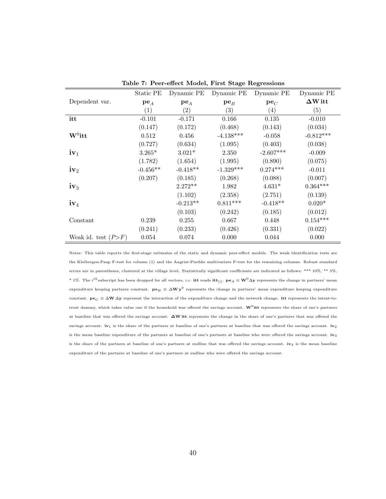|                       | Static PE         | Dynamic PE        | Dynamic PE        | Dynamic PE       | Dynamic PE     |
|-----------------------|-------------------|-------------------|-------------------|------------------|----------------|
| Dependent var.        | $pe_{A}$          | $pe_{A}$          | $pe_B$            | $pe_C$           | $\Delta W$ itt |
|                       | $\left( 1\right)$ | $\left( 2\right)$ | $\left( 3\right)$ | $\left(4\right)$ | (5)            |
| itt                   | $-0.101$          | $-0.171$          | 0.166             | 0.135            | $-0.010$       |
|                       | (0.147)           | (0.172)           | (0.468)           | (0.143)          | (0.034)        |
| $W^0$ itt             | 0.512             | 0.456             | $-4.138***$       | $-0.058$         | $-0.812***$    |
|                       | (0.727)           | (0.634)           | (1.095)           | (0.403)          | (0.038)        |
| $iv_1$                | $3.265*$          | $3.021*$          | 2.350             | $-2.607***$      | $-0.009$       |
|                       | (1.782)           | (1.654)           | (1.995)           | (0.890)          | (0.075)        |
| $\mathbf{iv}_2$       | $-0.456**$        | $-0.418**$        | $-1.329***$       | $0.274***$       | $-0.011$       |
|                       | (0.207)           | (0.185)           | (0.268)           | (0.088)          | (0.007)        |
| $iv_3$                |                   | $2.272**$         | 1.982             | $4.631*$         | $0.364***$     |
|                       |                   | (1.102)           | (2.358)           | (2.751)          | (0.139)        |
| $iv_4$                |                   | $-0.213**$        | $0.811***$        | $-0.418**$       | $0.020*$       |
|                       |                   | (0.103)           | (0.242)           | (0.185)          | (0.012)        |
| Constant              | 0.239             | 0.255             | 0.667             | 0.448            | $0.154***$     |
|                       | (0.241)           | (0.233)           | (0.426)           | (0.331)          | (0.022)        |
| Weak id. test $(P>F)$ | 0.054             | 0.074             | 0.000             | 0.044            | 0.000          |

Table 7: Peer-effect Model, First Stage Regressions

Notes: This table reports the first-stage estimates of the static and dynamic peer-effect models. The weak identification tests are the Kleibergen-Paap F-test for column (1) and the Angrist-Pischke multivariate F-test for the remaining columns. Robust standard errors are in parentheses, clustered at the village level. Statistically significant coefficients are indicated as follows: \*\*\* 10%, \*\* 5%, \* 1%. The i<sup>th</sup>subscript has been dropped for all vectors, i.e. **itt** reads  $\textbf{itt}_{[i]}$ .  $\textbf{pe}_A \equiv \textbf{W}^0 \Delta \textbf{y}$  represents the change in partners' mean expenditure keeping partners constant.  $pe_B \equiv \Delta W y^0$  represents the change in partners' mean expenditure keeping expenditure constant.  $\mathbf{p} \mathbf{e}_C \equiv \Delta \mathbf{W} \Delta \mathbf{y}$  represent the interaction of the expenditure change and the network change. itt represents the intent-totreat dummy, which takes value one if the household was offered the savings account.  $\mathbf{W}^0$ itt represents the share of one's partners at baseline that was offered the savings account. ∆W itt represents the change in the share of one's partners that was offered the savings account.  $iv_1$  is the share of the partners at baseline of one's partners at baseline that was offered the savings account.  $iv_2$ is the mean baseline expenditure of the partners at baseline of one's partners at baseline who were offered the savings account.  $iv_3$ is the share of the partners at baseline of one's partners at endline that was offered the savings account.  $iv_4$  is the mean baseline expenditure of the partners at baseline of one's partners at endline who were offered the savings account.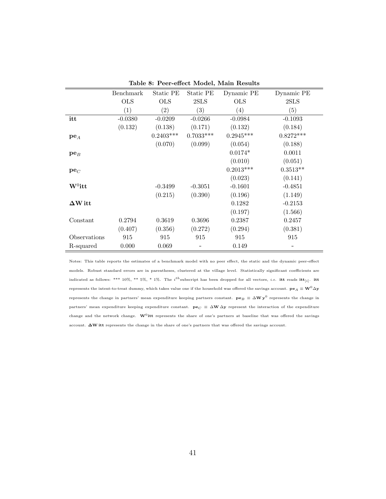|                    | Benchmark  | Static PE   | Static PE   | Dynamic PE  | Dynamic PE  |
|--------------------|------------|-------------|-------------|-------------|-------------|
|                    | <b>OLS</b> | <b>OLS</b>  | 2SLS        | <b>OLS</b>  | 2SLS        |
|                    | (1)        | (2)         | (3)         | (4)         | (5)         |
| itt                | $-0.0380$  | $-0.0209$   | $-0.0266$   | $-0.0984$   | $-0.1093$   |
|                    | (0.132)    | (0.138)     | (0.171)     | (0.132)     | (0.184)     |
| $pe_A$             |            | $0.2403***$ | $0.7033***$ | $0.2945***$ | $0.8272***$ |
|                    |            | (0.070)     | (0.099)     | (0.054)     | (0.188)     |
| $pe_B$             |            |             |             | $0.0174*$   | 0.0011      |
|                    |            |             |             | (0.010)     | (0.051)     |
| $pe_C$             |            |             |             | $0.2013***$ | $0.3513**$  |
|                    |            |             |             | (0.023)     | (0.141)     |
| $\mathbf{W}^0$ itt |            | $-0.3499$   | $-0.3051$   | $-0.1601$   | $-0.4851$   |
|                    |            | (0.215)     | (0.390)     | (0.196)     | (1.149)     |
| $\Delta W$ it t    |            |             |             | 0.1282      | $-0.2153$   |
|                    |            |             |             | (0.197)     | (1.566)     |
| Constant           | 0.2794     | 0.3619      | 0.3696      | 0.2387      | 0.2457      |
|                    | (0.407)    | (0.356)     | (0.272)     | (0.294)     | (0.381)     |
| Observations       | 915        | 915         | 915         | 915         | 915         |
| R-squared          | 0.000      | 0.069       |             | 0.149       |             |

Table 8: Peer-effect Model, Main Results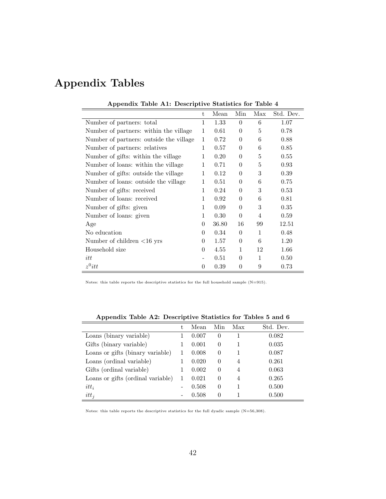# Appendix Tables

| reported table i.i. Descriptive blatistics for fable |              |       |          |                |           |  |  |
|------------------------------------------------------|--------------|-------|----------|----------------|-----------|--|--|
|                                                      | t.           | Mean  | Min      | Max            | Std. Dev. |  |  |
| Number of partners: total                            | 1            | 1.33  | $\theta$ | 6              | 1.07      |  |  |
| Number of partners: within the village               | 1            | 0.61  | $\theta$ | 5              | 0.78      |  |  |
| Number of partners: outside the village              | $\mathbf{1}$ | 0.72  | $\Omega$ | 6              | 0.88      |  |  |
| Number of partners: relatives                        | 1            | 0.57  | $\theta$ | 6              | 0.85      |  |  |
| Number of gifts: within the village                  | 1            | 0.20  | $\Omega$ | 5              | 0.55      |  |  |
| Number of loans: within the village                  | 1            | 0.71  | $\Omega$ | 5              | 0.93      |  |  |
| Number of gifts: outside the village                 | 1            | 0.12  | $\Omega$ | 3              | 0.39      |  |  |
| Number of loans: outside the village                 | 1            | 0.51  | $\Omega$ | 6              | 0.75      |  |  |
| Number of gifts: received                            | 1            | 0.24  | $\theta$ | 3              | 0.53      |  |  |
| Number of loans: received                            | 1            | 0.92  | $\theta$ | 6              | 0.81      |  |  |
| Number of gifts: given                               | 1            | 0.09  | $\Omega$ | 3              | 0.35      |  |  |
| Number of loans: given                               | 1            | 0.30  | $\theta$ | $\overline{4}$ | 0.59      |  |  |
| Age                                                  | $\Omega$     | 36.80 | 16       | 99             | 12.51     |  |  |
| No education                                         | $\Omega$     | 0.34  | $\Omega$ | 1              | 0.48      |  |  |
| Number of children $<$ 16 yrs                        | 0            | 1.57  | $\theta$ | 6              | 1.20      |  |  |
| Household size                                       | 0            | 4.55  | 1        | 12             | 1.66      |  |  |
| itt                                                  |              | 0.51  | $\theta$ | $\mathbf{1}$   | 0.50      |  |  |
| $z^0$ itt                                            | $\theta$     | 0.39  | $\theta$ | 9              | 0.73      |  |  |

Appendix Table A1: Descriptive Statistics for Table 4

Notes: this table reports the descriptive statistics for the full household sample (N=915).

| . .                               |    |       |                |     |           |
|-----------------------------------|----|-------|----------------|-----|-----------|
|                                   | t. | Mean  | Min            | Max | Std. Dev. |
| Loans (binary variable)           |    | 0.007 | $\overline{0}$ |     | 0.082     |
| Gifts (binary variable)           |    | 0.001 | $\theta$       |     | 0.035     |
| Loans or gifts (binary variable)  |    | 0.008 | $\theta$       |     | 0.087     |
| Loans (ordinal variable)          |    | 0.020 | $\theta$       | 4   | 0.261     |
| Gifts (ordinal variable)          |    | 0.002 | $\theta$       | 4   | 0.063     |
| Loans or gifts (ordinal variable) |    | 0.021 | $\theta$       | 4   | 0.265     |
| $itt_i$                           |    | 0.508 | $\overline{0}$ |     | 0.500     |
| $itt_i$                           |    | 0.508 | 0              |     | 0.500     |
|                                   |    |       |                |     |           |

Appendix Table A2: Descriptive Statistics for Tables 5 and 6

Notes: this table reports the descriptive statistics for the full dyadic sample (N=56,308).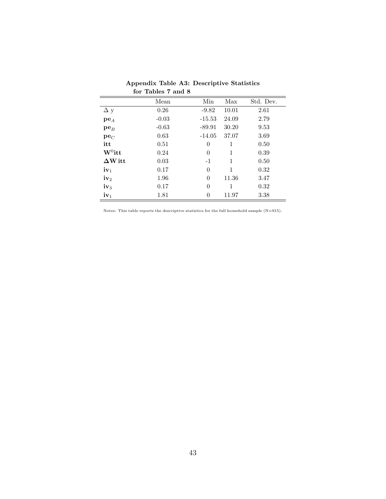|                    | Mean    | Min      | Max   | Std. Dev. |
|--------------------|---------|----------|-------|-----------|
| $\Delta y$         | 0.26    | $-9.82$  | 10.01 | 2.61      |
| $pe_{A}$           | $-0.03$ | $-15.53$ | 24.09 | 2.79      |
| $pe_B$             | $-0.63$ | $-89.91$ | 30.20 | 9.53      |
| $pe_C$             | 0.63    | $-14.05$ | 37.07 | 3.69      |
| itt                | 0.51    | $\theta$ | 1     | 0.50      |
| $\mathbf{W}^0$ itt | 0.24    | $\theta$ | 1     | 0.39      |
| $\Delta W$ itt     | 0.03    | $-1$     | 1     | 0.50      |
| $iv_1$             | 0.17    | $\theta$ | 1     | 0.32      |
| $iv_2$             | 1.96    | $\theta$ | 11.36 | 3.47      |
| $iv_3$             | 0.17    | $\theta$ | 1     | 0.32      |
| $iv_1$             | 1.81    | 0        | 11.97 | 3.38      |

Appendix Table A3: Descriptive Statistics for Tables 7 and 8

Notes: This table reports the descriptive statistics for the full household sample (N=915).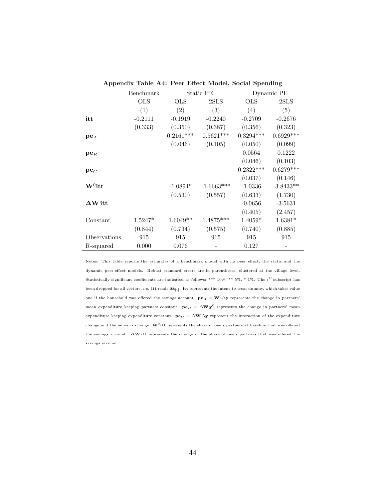|                    | Benchmark  |                   | Static PE    |             | Dynamic PE  |
|--------------------|------------|-------------------|--------------|-------------|-------------|
|                    | <b>OLS</b> | <b>OLS</b>        | 2SLS         | <b>OLS</b>  | 2SLS        |
|                    | (1)        | $\left( 2\right)$ | (3)          | (4)         | (5)         |
| itt                | $-0.2111$  | $-0.1919$         | $-0.2240$    | $-0.2709$   | $-0.2676$   |
|                    | (0.333)    | (0.350)           | (0.387)      | (0.356)     | (0.323)     |
| $pe_A$             |            | $0.2161***$       | $0.5621***$  | $0.3294***$ | $0.6929***$ |
|                    |            | (0.046)           | (0.105)      | (0.050)     | (0.099)     |
| $pe_B$             |            |                   |              | 0.0564      | 0.1222      |
|                    |            |                   |              | (0.046)     | (0.103)     |
| $pe_C$             |            |                   |              | $0.2322***$ | $0.6279***$ |
|                    |            |                   |              | (0.037)     | (0.146)     |
| $\mathbf{W}^0$ itt |            | $-1.0894*$        | $-1.6663***$ | $-1.0336$   | $-3.8433**$ |
|                    |            | (0.530)           | (0.557)      | (0.633)     | (1.730)     |
| $\Delta W$ itt     |            |                   |              | $-0.0656$   | $-3.5631$   |
|                    |            |                   |              | (0.405)     | (2.457)     |
| Constant           | $1.5247*$  | $1.6049**$        | $1.4875***$  | $1.4059*$   | $1.6381*$   |
|                    | (0.844)    | (0.734)           | (0.575)      | (0.740)     | (0.885)     |
| Observations       | 915        | 915               | 915          | 915         | 915         |
| R-squared          | 0.000      | 0.076             |              | 0.127       |             |

Appendix Table A4: Peer Effect Model, Social Spending

Notes: This table reports the estimates of a benchmark model with no peer effect, the static and the dynamic peer-effect models. Robust standard errors are in parentheses, clustered at the village level. Statistically significant coefficients are indicated as follows: \*\*\* 10%, \*\* 5%, \* 1%. The *i*<sup>th</sup> subscript has been dropped for all vectors,  $i.e.$  itt reads itt $_{[i]}$ . itt represents the intent-to-treat dummy, which takes value one if the household was offered the savings account.  $\mathbf{pe}_A \equiv \mathbf{W}^0 \Delta \mathbf{y}$  represents the change in partners' mean expenditure keeping partners constant.  $pe_B \equiv \Delta W y^0$  represents the change in partners' mean expenditure keeping expenditure constant.  $\mathbf{p} \mathbf{e}_C \equiv \Delta \mathbf{W} \Delta \mathbf{y}$  represent the interaction of the expenditure change and the network change.  $\mathbf{W}^0\mathbf{itt}$  represents the share of one's partners at baseline that was offered the savings account. ∆W itt represents the change in the share of one's partners that was offered the savings account.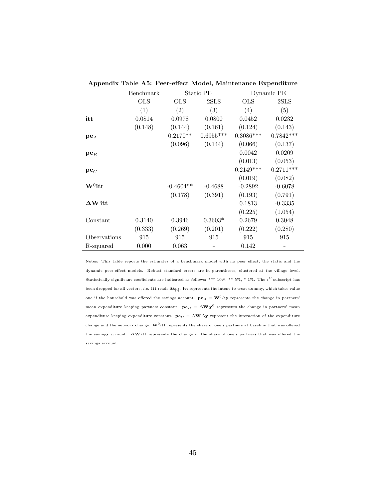|                    | Benchmark  | Static PE   |                   | Dynamic PE  |             |
|--------------------|------------|-------------|-------------------|-------------|-------------|
|                    | <b>OLS</b> | <b>OLS</b>  | 2SLS              | OLS         | 2SLS        |
|                    | (1)        | (2)         | $\left( 3\right)$ | (4)         | (5)         |
| itt                | 0.0814     | 0.0978      | 0.0800            | 0.0452      | 0.0232      |
|                    | (0.148)    | (0.144)     | (0.161)           | (0.124)     | (0.143)     |
| $pe_{A}$           |            | $0.2170**$  | $0.6955***$       | $0.3086***$ | $0.7842***$ |
|                    |            | (0.096)     | (0.144)           | (0.066)     | (0.137)     |
| $pe_B$             |            |             |                   | 0.0042      | 0.0209      |
|                    |            |             |                   | (0.013)     | (0.053)     |
| $pe_C$             |            |             |                   | $0.2149***$ | $0.2711***$ |
|                    |            |             |                   | (0.019)     | (0.082)     |
| $\mathbf{W}^0$ itt |            | $-0.4604**$ | $-0.4688$         | $-0.2892$   | $-0.6078$   |
|                    |            | (0.178)     | (0.391)           | (0.193)     | (0.791)     |
| $\Delta W$ it t    |            |             |                   | 0.1813      | $-0.3335$   |
|                    |            |             |                   | (0.225)     | (1.054)     |
| Constant           | 0.3140     | 0.3946      | $0.3603*$         | 0.2679      | 0.3048      |
|                    | (0.333)    | (0.269)     | (0.201)           | (0.222)     | (0.280)     |
| Observations       | 915        | 915         | 915               | 915         | 915         |
| R-squared          | 0.000      | 0.063       |                   | 0.142       |             |

Appendix Table A5: Peer-effect Model, Maintenance Expenditure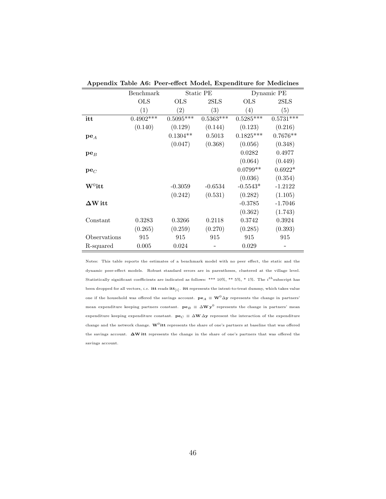|                 | Benchmark   | Static PE   |             | Dynamic PE  |             |
|-----------------|-------------|-------------|-------------|-------------|-------------|
|                 | <b>OLS</b>  | <b>OLS</b>  | 2SLS        | OLS         | 2SLS        |
|                 | (1)         | (2)         | (3)         | (4)         | (5)         |
| itt             | $0.4902***$ | $0.5095***$ | $0.5363***$ | $0.5285***$ | $0.5731***$ |
|                 | (0.140)     | (0.129)     | (0.144)     | (0.123)     | (0.216)     |
| $pe_A$          |             | $0.1304**$  | 0.5013      | $0.1825***$ | $0.7676**$  |
|                 |             | (0.047)     | (0.368)     | (0.056)     | (0.348)     |
| $pe_B$          |             |             |             | 0.0282      | 0.4977      |
|                 |             |             |             | (0.064)     | (0.449)     |
| $pe_C$          |             |             |             | $0.0799**$  | $0.6922*$   |
|                 |             |             |             | (0.036)     | (0.354)     |
| $W^0$ itt       |             | $-0.3059$   | $-0.6534$   | $-0.5543*$  | $-1.2122$   |
|                 |             | (0.242)     | (0.531)     | (0.282)     | (1.105)     |
| $\Delta W$ it t |             |             |             | $-0.3785$   | $-1.7046$   |
|                 |             |             |             | (0.362)     | (1.743)     |
| Constant        | 0.3283      | 0.3266      | 0.2118      | 0.3742      | 0.3924      |
|                 | (0.265)     | (0.259)     | (0.270)     | (0.285)     | (0.393)     |
| Observations    | 915         | 915         | 915         | 915         | 915         |
| R-squared       | 0.005       | 0.024       |             | 0.029       |             |

Appendix Table A6: Peer-effect Model, Expenditure for Medicines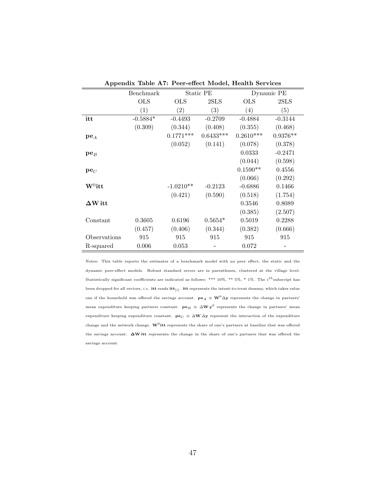|                | Benchmark  | Static PE         |             | Dynamic PE   |                   |
|----------------|------------|-------------------|-------------|--------------|-------------------|
|                | <b>OLS</b> | <b>OLS</b>        | 2SLS        | $_{\rm OLS}$ | 2SLS              |
|                | (1)        | $\left( 2\right)$ | (3)         | (4)          | $\left( 5\right)$ |
| itt            | $-0.5884*$ | $-0.4493$         | $-0.2709$   | $-0.4884$    | $-0.3144$         |
|                | (0.309)    | (0.344)           | (0.408)     | (0.355)      | (0.468)           |
| $pe_A$         |            | $0.1771***$       | $0.6433***$ | $0.2610***$  | $0.9376**$        |
|                |            | (0.052)           | (0.141)     | (0.078)      | (0.378)           |
| $pe_B$         |            |                   |             | 0.0333       | $-0.2471$         |
|                |            |                   |             | (0.044)      | (0.598)           |
| $pe_C$         |            |                   |             | $0.1590**$   | 0.4556            |
|                |            |                   |             | (0.066)      | (0.292)           |
| $W^0$ itt      |            | $-1.0210**$       | $-0.2123$   | $-0.6886$    | 0.1466            |
|                |            | (0.421)           | (0.590)     | (0.518)      | (1.754)           |
| $\Delta W$ itt |            |                   |             | 0.3546       | 0.8089            |
|                |            |                   |             | (0.385)      | (2.507)           |
| Constant       | 0.3605     | 0.6196            | $0.5654*$   | 0.5019       | 0.2288            |
|                | (0.457)    | (0.406)           | (0.344)     | (0.382)      | (0.666)           |
| Observations   | 915        | 915               | 915         | 915          | 915               |
| R-squared      | 0.006      | 0.053             |             | 0.072        |                   |

Appendix Table A7: Peer-effect Model, Health Services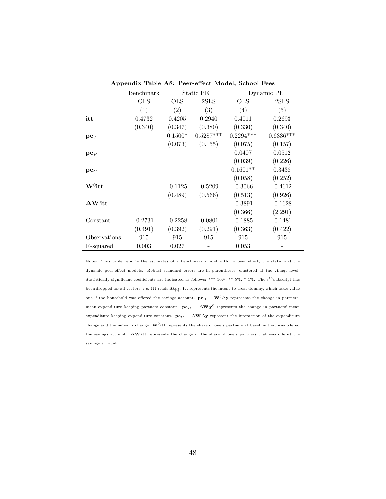| . .            |            |                   |             |             |             |
|----------------|------------|-------------------|-------------|-------------|-------------|
|                | Benchmark  | Static PE         |             | Dynamic PE  |             |
|                | <b>OLS</b> | <b>OLS</b>        | 2SLS        | <b>OLS</b>  | 2SLS        |
|                | (1)        | $\left( 2\right)$ | (3)         | (4)         | (5)         |
| itt            | 0.4732     | 0.4205            | 0.2940      | 0.4011      | 0.2693      |
|                | (0.340)    | (0.347)           | (0.380)     | (0.330)     | (0.340)     |
| $pe_{A}$       |            | $0.1500*$         | $0.5287***$ | $0.2294***$ | $0.6336***$ |
|                |            | (0.073)           | (0.155)     | (0.075)     | (0.157)     |
| $pe_B$         |            |                   |             | 0.0407      | 0.0512      |
|                |            |                   |             | (0.039)     | (0.226)     |
| $pe_C$         |            |                   |             | $0.1601**$  | 0.3438      |
|                |            |                   |             | (0.058)     | (0.252)     |
| $W^0$ itt      |            | $-0.1125$         | $-0.5209$   | $-0.3066$   | $-0.4612$   |
|                |            | (0.489)           | (0.566)     | (0.513)     | (0.926)     |
| $\Delta W$ itt |            |                   |             | $-0.3891$   | $-0.1628$   |
|                |            |                   |             | (0.366)     | (2.291)     |
| Constant       | $-0.2731$  | $-0.2258$         | $-0.0801$   | $-0.1885$   | $-0.1481$   |
|                | (0.491)    | (0.392)           | (0.291)     | (0.363)     | (0.422)     |
| Observations   | 915        | 915               | 915         | 915         | 915         |
| R-squared      | 0.003      | 0.027             |             | 0.053       |             |

Appendix Table A8: Peer-effect Model, School Fees